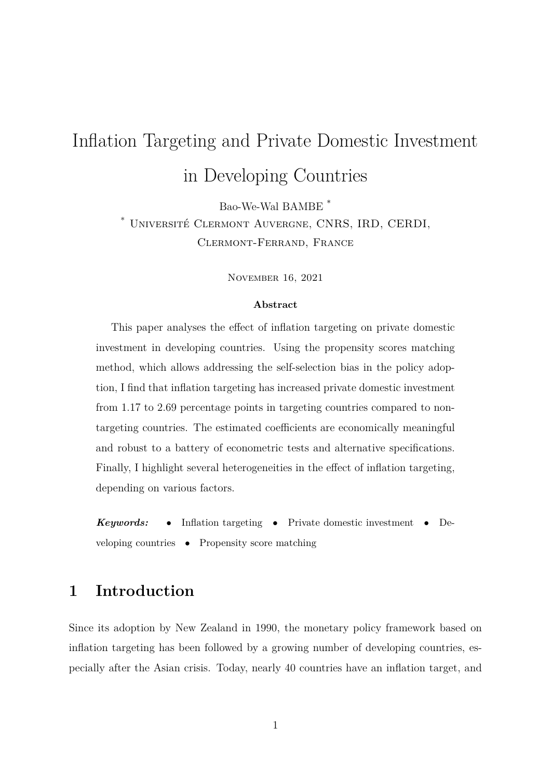# Inflation Targeting and Private Domestic Investment in Developing Countries

Bao-We-Wal BAMBE \*

\* Université Clermont Auvergne, CNRS, IRD, CERDI,

Clermont-Ferrand, France

November 16, 2021

#### **Abstract**

This paper analyses the effect of inflation targeting on private domestic investment in developing countries. Using the propensity scores matching method, which allows addressing the self-selection bias in the policy adoption, I find that inflation targeting has increased private domestic investment from 1.17 to 2.69 percentage points in targeting countries compared to nontargeting countries. The estimated coefficients are economically meaningful and robust to a battery of econometric tests and alternative specifications. Finally, I highlight several heterogeneities in the effect of inflation targeting, depending on various factors.

*Keywords:* • Inflation targeting • Private domestic investment • Developing countries • Propensity score matching

# **1 Introduction**

Since its adoption by New Zealand in 1990, the monetary policy framework based on inflation targeting has been followed by a growing number of developing countries, especially after the Asian crisis. Today, nearly 40 countries have an inflation target, and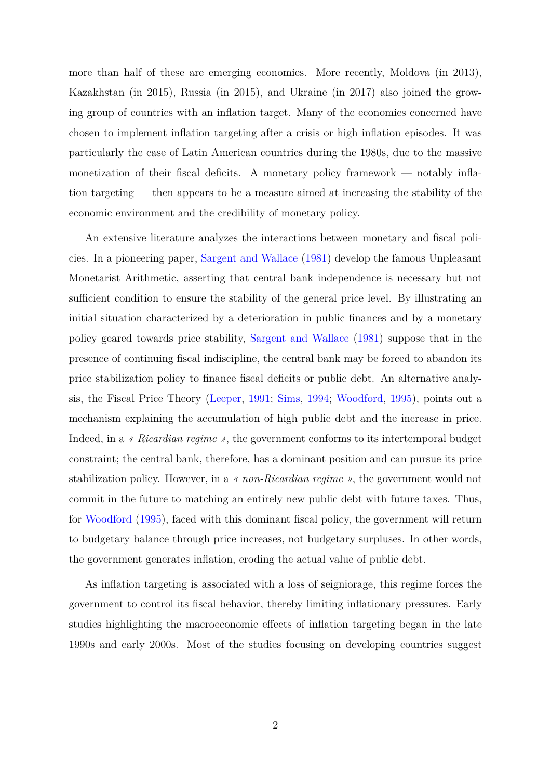more than half of these are emerging economies. More recently, Moldova (in 2013), Kazakhstan (in 2015), Russia (in 2015), and Ukraine (in 2017) also joined the growing group of countries with an inflation target. Many of the economies concerned have chosen to implement inflation targeting after a crisis or high inflation episodes. It was particularly the case of Latin American countries during the 1980s, due to the massive monetization of their fiscal deficits. A monetary policy framework — notably inflation targeting — then appears to be a measure aimed at increasing the stability of the economic environment and the credibility of monetary policy.

An extensive literature analyzes the interactions between monetary and fiscal policies. In a pioneering paper, [Sargent and Wallace](#page-33-0) [\(1981\)](#page-33-0) develop the famous Unpleasant Monetarist Arithmetic, asserting that central bank independence is necessary but not sufficient condition to ensure the stability of the general price level. By illustrating an initial situation characterized by a deterioration in public finances and by a monetary policy geared towards price stability, [Sargent and Wallace](#page-33-0) [\(1981\)](#page-33-0) suppose that in the presence of continuing fiscal indiscipline, the central bank may be forced to abandon its price stabilization policy to finance fiscal deficits or public debt. An alternative analysis, the Fiscal Price Theory [\(Leeper,](#page-31-0) [1991;](#page-31-0) [Sims,](#page-33-1) [1994;](#page-33-1) [Woodford,](#page-33-2) [1995\)](#page-33-2), points out a mechanism explaining the accumulation of high public debt and the increase in price. Indeed, in a *« Ricardian regime »*, the government conforms to its intertemporal budget constraint; the central bank, therefore, has a dominant position and can pursue its price stabilization policy. However, in a *« non-Ricardian regime »*, the government would not commit in the future to matching an entirely new public debt with future taxes. Thus, for [Woodford](#page-33-2) [\(1995\)](#page-33-2), faced with this dominant fiscal policy, the government will return to budgetary balance through price increases, not budgetary surpluses. In other words, the government generates inflation, eroding the actual value of public debt.

As inflation targeting is associated with a loss of seigniorage, this regime forces the government to control its fiscal behavior, thereby limiting inflationary pressures. Early studies highlighting the macroeconomic effects of inflation targeting began in the late 1990s and early 2000s. Most of the studies focusing on developing countries suggest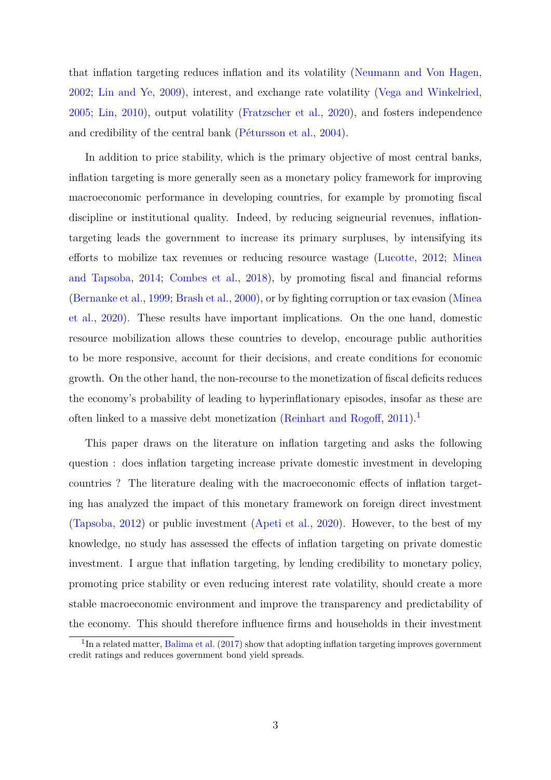that inflation targeting reduces inflation and its volatility [\(Neumann and Von Hagen,](#page-32-0) [2002;](#page-32-0) [Lin and Ye,](#page-32-1) [2009\)](#page-32-1), interest, and exchange rate volatility [\(Vega and Winkelried,](#page-33-3) [2005;](#page-33-3) [Lin,](#page-31-1) [2010\)](#page-31-1), output volatility [\(Fratzscher et al.,](#page-31-2) [2020\)](#page-31-2), and fosters independence and credibility of the central bank [\(Pétursson et al.,](#page-32-2) [2004\)](#page-32-2).

In addition to price stability, which is the primary objective of most central banks, inflation targeting is more generally seen as a monetary policy framework for improving macroeconomic performance in developing countries, for example by promoting fiscal discipline or institutional quality. Indeed, by reducing seigneurial revenues, inflationtargeting leads the government to increase its primary surpluses, by intensifying its efforts to mobilize tax revenues or reducing resource wastage [\(Lucotte,](#page-32-3) [2012;](#page-32-3) [Minea](#page-32-4) [and Tapsoba,](#page-32-4) [2014;](#page-32-4) [Combes et al.,](#page-30-0) [2018\)](#page-30-0), by promoting fiscal and financial reforms [\(Bernanke et al.,](#page-30-1) [1999;](#page-30-1) [Brash et al.,](#page-30-2) [2000\)](#page-30-2), or by fighting corruption or tax evasion [\(Minea](#page-32-5) [et al.,](#page-32-5) [2020\)](#page-32-5). These results have important implications. On the one hand, domestic resource mobilization allows these countries to develop, encourage public authorities to be more responsive, account for their decisions, and create conditions for economic growth. On the other hand, the non-recourse to the monetization of fiscal deficits reduces the economy's probability of leading to hyperinflationary episodes, insofar as these are often linked to a massive debt monetization [\(Reinhart and Rogoff,](#page-32-6)  $2011$  $2011$  $2011$ ).<sup>1</sup>

This paper draws on the literature on inflation targeting and asks the following question : does inflation targeting increase private domestic investment in developing countries ? The literature dealing with the macroeconomic effects of inflation targeting has analyzed the impact of this monetary framework on foreign direct investment [\(Tapsoba,](#page-33-4) [2012\)](#page-33-4) or public investment [\(Apeti et al.,](#page-30-3) [2020\)](#page-30-3). However, to the best of my knowledge, no study has assessed the effects of inflation targeting on private domestic investment. I argue that inflation targeting, by lending credibility to monetary policy, promoting price stability or even reducing interest rate volatility, should create a more stable macroeconomic environment and improve the transparency and predictability of the economy. This should therefore influence firms and households in their investment

<span id="page-2-0"></span> $1$ In a related matter, [Balima et al.](#page-30-4) [\(2017\)](#page-30-4) show that adopting inflation targeting improves government credit ratings and reduces government bond yield spreads.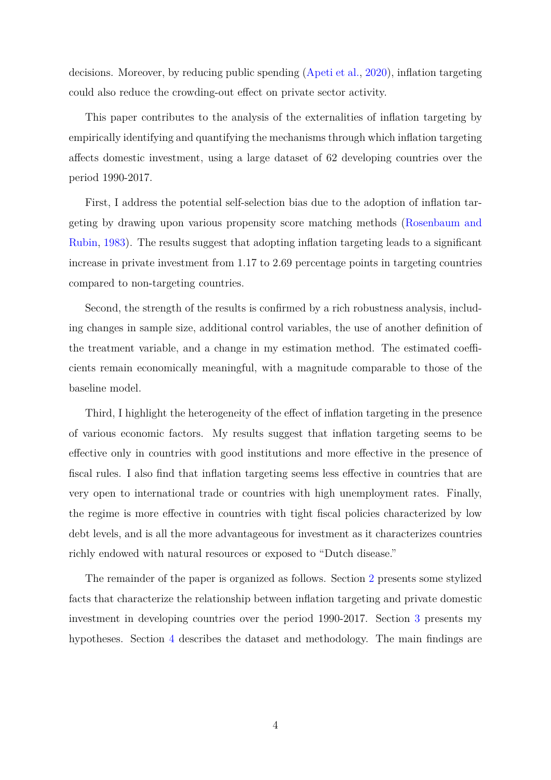decisions. Moreover, by reducing public spending [\(Apeti et al.,](#page-30-3) [2020\)](#page-30-3), inflation targeting could also reduce the crowding-out effect on private sector activity.

This paper contributes to the analysis of the externalities of inflation targeting by empirically identifying and quantifying the mechanisms through which inflation targeting affects domestic investment, using a large dataset of 62 developing countries over the period 1990-2017.

First, I address the potential self-selection bias due to the adoption of inflation targeting by drawing upon various propensity score matching methods [\(Rosenbaum and](#page-33-5) [Rubin,](#page-33-5) [1983\)](#page-33-5). The results suggest that adopting inflation targeting leads to a significant increase in private investment from 1.17 to 2.69 percentage points in targeting countries compared to non-targeting countries.

Second, the strength of the results is confirmed by a rich robustness analysis, including changes in sample size, additional control variables, the use of another definition of the treatment variable, and a change in my estimation method. The estimated coefficients remain economically meaningful, with a magnitude comparable to those of the baseline model.

Third, I highlight the heterogeneity of the effect of inflation targeting in the presence of various economic factors. My results suggest that inflation targeting seems to be effective only in countries with good institutions and more effective in the presence of fiscal rules. I also find that inflation targeting seems less effective in countries that are very open to international trade or countries with high unemployment rates. Finally, the regime is more effective in countries with tight fiscal policies characterized by low debt levels, and is all the more advantageous for investment as it characterizes countries richly endowed with natural resources or exposed to "Dutch disease."

The remainder of the paper is organized as follows. Section [2](#page-4-0) presents some stylized facts that characterize the relationship between inflation targeting and private domestic investment in developing countries over the period 1990-2017. Section [3](#page-6-0) presents my hypotheses. Section [4](#page-8-0) describes the dataset and methodology. The main findings are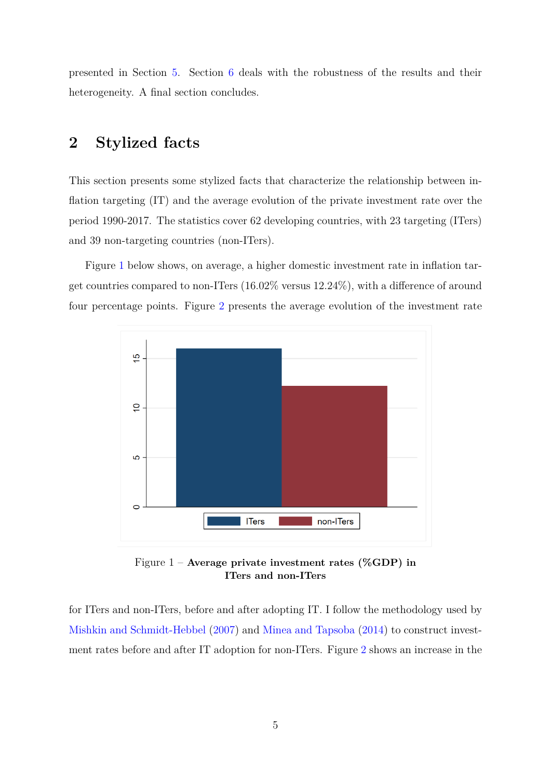presented in Section [5.](#page-11-0) Section [6](#page-17-0) deals with the robustness of the results and their heterogeneity. A final section concludes.

# <span id="page-4-0"></span>**2 Stylized facts**

This section presents some stylized facts that characterize the relationship between inflation targeting (IT) and the average evolution of the private investment rate over the period 1990-2017. The statistics cover 62 developing countries, with 23 targeting (ITers) and 39 non-targeting countries (non-ITers).

Figure [1](#page-4-1) below shows, on average, a higher domestic investment rate in inflation target countries compared to non-ITers (16.02% versus 12.24%), with a difference of around four percentage points. Figure [2](#page-5-0) presents the average evolution of the investment rate

<span id="page-4-1"></span>

Figure 1 – **Average private investment rates (%GDP) in ITers and non-ITers**

for ITers and non-ITers, before and after adopting IT. I follow the methodology used by [Mishkin and Schmidt-Hebbel](#page-32-7) [\(2007\)](#page-32-7) and [Minea and Tapsoba](#page-32-4) [\(2014\)](#page-32-4) to construct investment rates before and after IT adoption for non-ITers. Figure [2](#page-5-0) shows an increase in the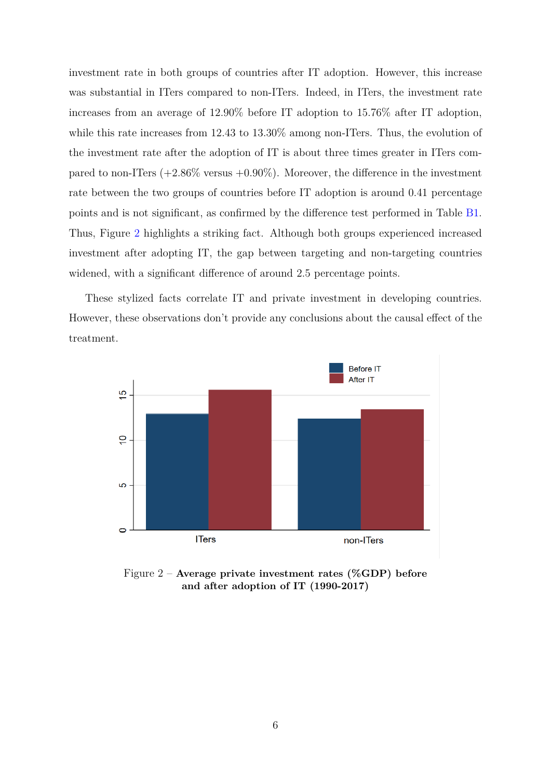investment rate in both groups of countries after IT adoption. However, this increase was substantial in ITers compared to non-ITers. Indeed, in ITers, the investment rate increases from an average of 12.90% before IT adoption to 15.76% after IT adoption, while this rate increases from 12.43 to 13.30% among non-ITers. Thus, the evolution of the investment rate after the adoption of IT is about three times greater in ITers compared to non-ITers  $(+2.86\%$  versus  $+0.90\%)$ . Moreover, the difference in the investment rate between the two groups of countries before IT adoption is around 0.41 percentage points and is not significant, as confirmed by the difference test performed in Table [B1.](#page-35-0) Thus, Figure [2](#page-5-0) highlights a striking fact. Although both groups experienced increased investment after adopting IT, the gap between targeting and non-targeting countries widened, with a significant difference of around 2.5 percentage points.

These stylized facts correlate IT and private investment in developing countries. However, these observations don't provide any conclusions about the causal effect of the treatment.

<span id="page-5-0"></span>

Figure 2 – **Average private investment rates (%GDP) before and after adoption of IT (1990-2017)**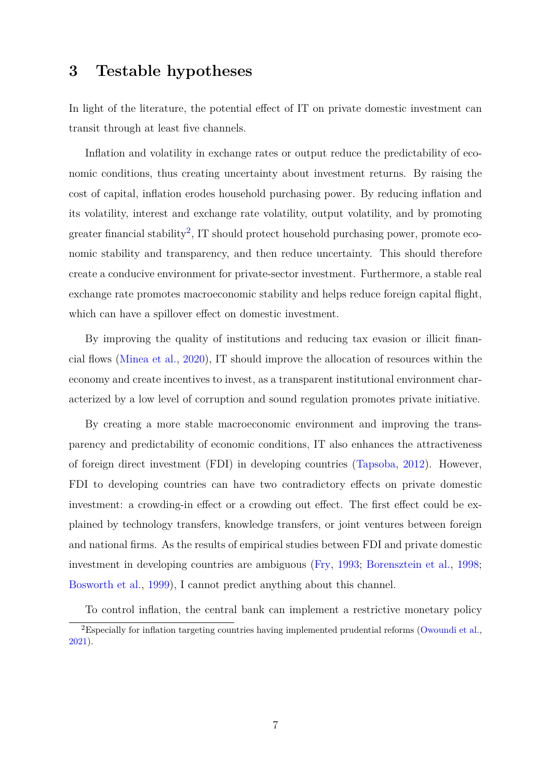### <span id="page-6-0"></span>**3 Testable hypotheses**

In light of the literature, the potential effect of IT on private domestic investment can transit through at least five channels.

Inflation and volatility in exchange rates or output reduce the predictability of economic conditions, thus creating uncertainty about investment returns. By raising the cost of capital, inflation erodes household purchasing power. By reducing inflation and its volatility, interest and exchange rate volatility, output volatility, and by promoting greater financial stability<sup>[2](#page-6-1)</sup>, IT should protect household purchasing power, promote economic stability and transparency, and then reduce uncertainty. This should therefore create a conducive environment for private-sector investment. Furthermore, a stable real exchange rate promotes macroeconomic stability and helps reduce foreign capital flight, which can have a spillover effect on domestic investment.

By improving the quality of institutions and reducing tax evasion or illicit financial flows [\(Minea et al.,](#page-32-5) [2020\)](#page-32-5), IT should improve the allocation of resources within the economy and create incentives to invest, as a transparent institutional environment characterized by a low level of corruption and sound regulation promotes private initiative.

By creating a more stable macroeconomic environment and improving the transparency and predictability of economic conditions, IT also enhances the attractiveness of foreign direct investment (FDI) in developing countries [\(Tapsoba,](#page-33-4) [2012\)](#page-33-4). However, FDI to developing countries can have two contradictory effects on private domestic investment: a crowding-in effect or a crowding out effect. The first effect could be explained by technology transfers, knowledge transfers, or joint ventures between foreign and national firms. As the results of empirical studies between FDI and private domestic investment in developing countries are ambiguous [\(Fry,](#page-31-3) [1993;](#page-31-3) [Borensztein et al.,](#page-30-5) [1998;](#page-30-5) [Bosworth et al.,](#page-30-6) [1999\)](#page-30-6), I cannot predict anything about this channel.

<span id="page-6-1"></span>To control inflation, the central bank can implement a restrictive monetary policy <sup>2</sup>Especially for inflation targeting countries having implemented prudential reforms [\(Owoundi et al.,](#page-32-8) [2021\)](#page-32-8).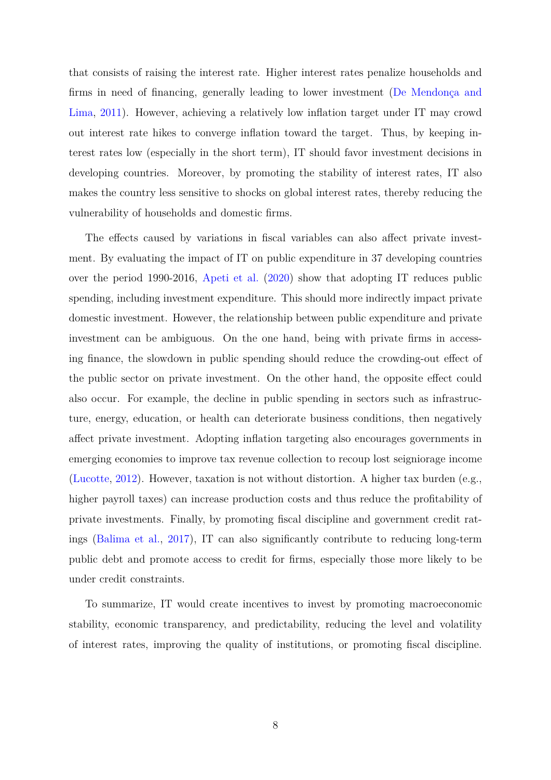that consists of raising the interest rate. Higher interest rates penalize households and firms in need of financing, generally leading to lower investment [\(De Mendonça and](#page-30-7) [Lima,](#page-30-7) [2011\)](#page-30-7). However, achieving a relatively low inflation target under IT may crowd out interest rate hikes to converge inflation toward the target. Thus, by keeping interest rates low (especially in the short term), IT should favor investment decisions in developing countries. Moreover, by promoting the stability of interest rates, IT also makes the country less sensitive to shocks on global interest rates, thereby reducing the vulnerability of households and domestic firms.

The effects caused by variations in fiscal variables can also affect private investment. By evaluating the impact of IT on public expenditure in 37 developing countries over the period 1990-2016, [Apeti et al.](#page-30-3) [\(2020\)](#page-30-3) show that adopting IT reduces public spending, including investment expenditure. This should more indirectly impact private domestic investment. However, the relationship between public expenditure and private investment can be ambiguous. On the one hand, being with private firms in accessing finance, the slowdown in public spending should reduce the crowding-out effect of the public sector on private investment. On the other hand, the opposite effect could also occur. For example, the decline in public spending in sectors such as infrastructure, energy, education, or health can deteriorate business conditions, then negatively affect private investment. Adopting inflation targeting also encourages governments in emerging economies to improve tax revenue collection to recoup lost seigniorage income [\(Lucotte,](#page-32-3) [2012\)](#page-32-3). However, taxation is not without distortion. A higher tax burden (e.g., higher payroll taxes) can increase production costs and thus reduce the profitability of private investments. Finally, by promoting fiscal discipline and government credit ratings [\(Balima et al.,](#page-30-4) [2017\)](#page-30-4), IT can also significantly contribute to reducing long-term public debt and promote access to credit for firms, especially those more likely to be under credit constraints.

To summarize, IT would create incentives to invest by promoting macroeconomic stability, economic transparency, and predictability, reducing the level and volatility of interest rates, improving the quality of institutions, or promoting fiscal discipline.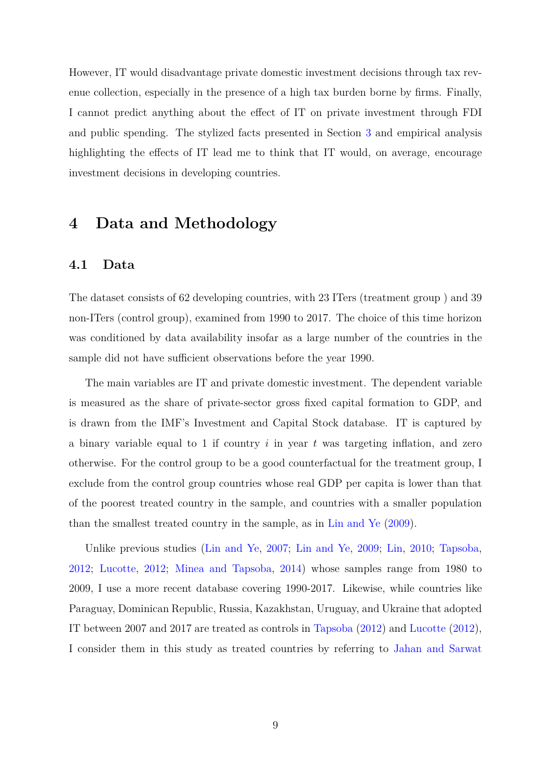However, IT would disadvantage private domestic investment decisions through tax revenue collection, especially in the presence of a high tax burden borne by firms. Finally, I cannot predict anything about the effect of IT on private investment through FDI and public spending. The stylized facts presented in Section [3](#page-6-0) and empirical analysis highlighting the effects of IT lead me to think that IT would, on average, encourage investment decisions in developing countries.

# <span id="page-8-0"></span>**4 Data and Methodology**

### **4.1 Data**

The dataset consists of 62 developing countries, with 23 ITers (treatment group ) and 39 non-ITers (control group), examined from 1990 to 2017. The choice of this time horizon was conditioned by data availability insofar as a large number of the countries in the sample did not have sufficient observations before the year 1990.

The main variables are IT and private domestic investment. The dependent variable is measured as the share of private-sector gross fixed capital formation to GDP, and is drawn from the IMF's Investment and Capital Stock database. IT is captured by a binary variable equal to 1 if country *i* in year *t* was targeting inflation, and zero otherwise. For the control group to be a good counterfactual for the treatment group, I exclude from the control group countries whose real GDP per capita is lower than that of the poorest treated country in the sample, and countries with a smaller population than the smallest treated country in the sample, as in [Lin and Ye](#page-32-1) [\(2009\)](#page-32-1).

Unlike previous studies [\(Lin and Ye,](#page-31-4) [2007;](#page-31-4) [Lin and Ye,](#page-32-1) [2009;](#page-32-1) [Lin,](#page-31-1) [2010;](#page-31-1) [Tapsoba,](#page-33-4) [2012;](#page-33-4) [Lucotte,](#page-32-3) [2012;](#page-32-3) [Minea and Tapsoba,](#page-32-4) [2014\)](#page-32-4) whose samples range from 1980 to 2009, I use a more recent database covering 1990-2017. Likewise, while countries like Paraguay, Dominican Republic, Russia, Kazakhstan, Uruguay, and Ukraine that adopted IT between 2007 and 2017 are treated as controls in [Tapsoba](#page-33-4) [\(2012\)](#page-33-4) and [Lucotte](#page-32-3) [\(2012\)](#page-32-3), I consider them in this study as treated countries by referring to [Jahan and Sarwat](#page-31-5)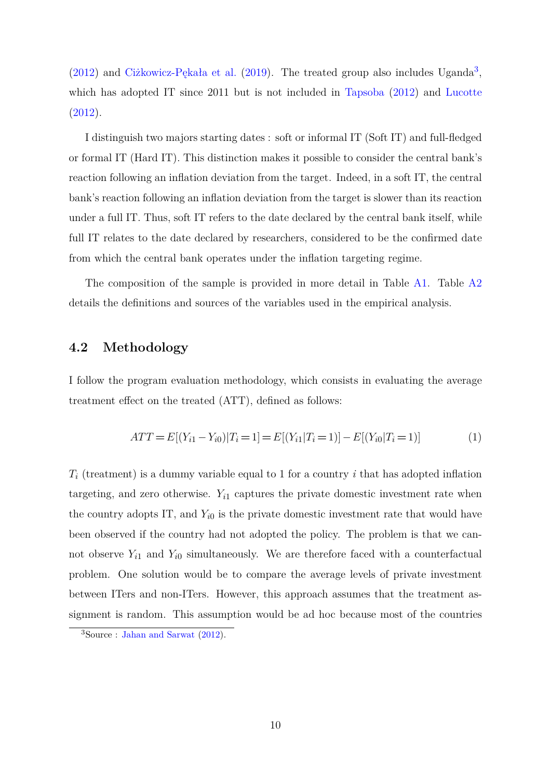$(2012)$  and [Ciżkowicz-Pękała et al.](#page-30-8)  $(2019)$ . The treated group also includes Uganda<sup>[3](#page-9-0)</sup>, which has adopted IT since 2011 but is not included in [Tapsoba](#page-33-4) [\(2012\)](#page-33-4) and [Lucotte](#page-32-3) [\(2012\)](#page-32-3).

I distinguish two majors starting dates : soft or informal IT (Soft IT) and full-fledged or formal IT (Hard IT). This distinction makes it possible to consider the central bank's reaction following an inflation deviation from the target. Indeed, in a soft IT, the central bank's reaction following an inflation deviation from the target is slower than its reaction under a full IT. Thus, soft IT refers to the date declared by the central bank itself, while full IT relates to the date declared by researchers, considered to be the confirmed date from which the central bank operates under the inflation targeting regime.

The composition of the sample is provided in more detail in Table [A1.](#page-34-0) Table [A2](#page-35-1) details the definitions and sources of the variables used in the empirical analysis.

### **4.2 Methodology**

I follow the program evaluation methodology, which consists in evaluating the average treatment effect on the treated (ATT), defined as follows:

<span id="page-9-1"></span>
$$
ATT = E[(Y_{i1} - Y_{i0})|T_i = 1] = E[(Y_{i1}|T_i = 1)] - E[(Y_{i0}|T_i = 1)] \tag{1}
$$

*T<sup>i</sup>* (treatment) is a dummy variable equal to 1 for a country *i* that has adopted inflation targeting, and zero otherwise.  $Y_{i1}$  captures the private domestic investment rate when the country adopts IT, and  $Y_{i0}$  is the private domestic investment rate that would have been observed if the country had not adopted the policy. The problem is that we cannot observe  $Y_{i1}$  and  $Y_{i0}$  simultaneously. We are therefore faced with a counterfactual problem. One solution would be to compare the average levels of private investment between ITers and non-ITers. However, this approach assumes that the treatment assignment is random. This assumption would be ad hoc because most of the countries

<span id="page-9-0"></span><sup>3</sup>Source : [Jahan and Sarwat](#page-31-5) [\(2012\)](#page-31-5).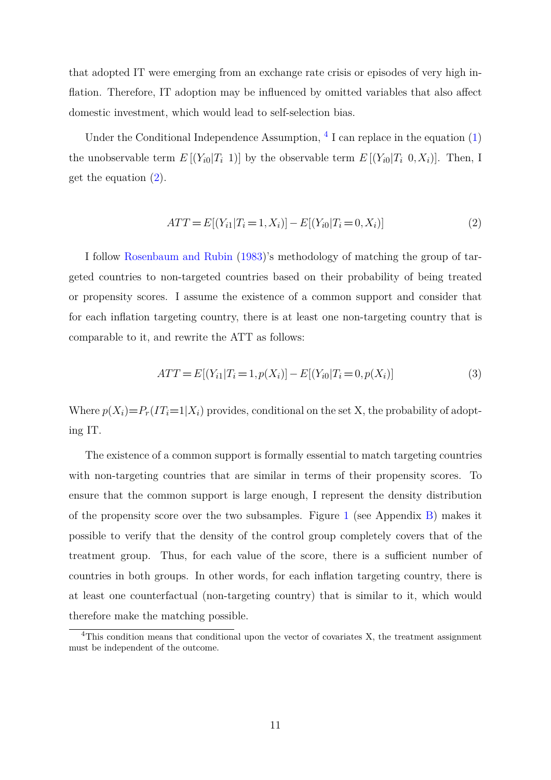that adopted IT were emerging from an exchange rate crisis or episodes of very high inflation. Therefore, IT adoption may be influenced by omitted variables that also affect domestic investment, which would lead to self-selection bias.

Under the Conditional Independence Assumption,  $\frac{4}{1}$  $\frac{4}{1}$  $\frac{4}{1}$  can replace in the equation [\(1\)](#page-9-1) the unobservable term  $E[(Y_{i0}|T_i 1)]$  by the observable term  $E[(Y_{i0}|T_i 0, X_i)]$ . Then, I get the equation [\(2\)](#page-10-1).

<span id="page-10-1"></span>
$$
ATT = E[(Y_{i1}|T_i = 1, X_i)] - E[(Y_{i0}|T_i = 0, X_i)]
$$
\n(2)

I follow [Rosenbaum and Rubin](#page-33-5) [\(1983\)](#page-33-5)'s methodology of matching the group of targeted countries to non-targeted countries based on their probability of being treated or propensity scores. I assume the existence of a common support and consider that for each inflation targeting country, there is at least one non-targeting country that is comparable to it, and rewrite the ATT as follows:

$$
ATT = E[(Y_{i1}|T_i = 1, p(X_i)] - E[(Y_{i0}|T_i = 0, p(X_i))]
$$
\n(3)

Where  $p(X_i) = P_r(T_i=1|X_i)$  provides, conditional on the set X, the probability of adopting IT.

The existence of a common support is formally essential to match targeting countries with non-targeting countries that are similar in terms of their propensity scores. To ensure that the common support is large enough, I represent the density distribution of the propensity score over the two subsamples. Figure [1](#page-35-2) (see Appendix [B\)](#page-35-3) makes it possible to verify that the density of the control group completely covers that of the treatment group. Thus, for each value of the score, there is a sufficient number of countries in both groups. In other words, for each inflation targeting country, there is at least one counterfactual (non-targeting country) that is similar to it, which would therefore make the matching possible.

<span id="page-10-0"></span><sup>&</sup>lt;sup>4</sup>This condition means that conditional upon the vector of covariates X, the treatment assignment must be independent of the outcome.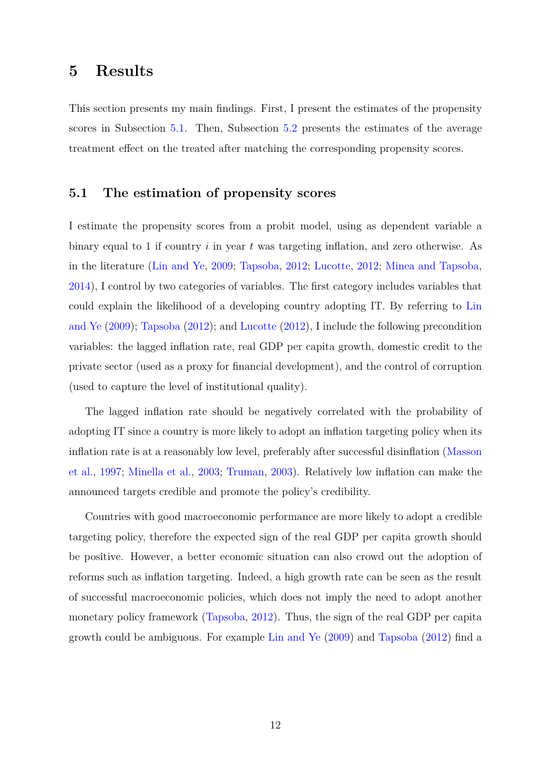## <span id="page-11-0"></span>**5 Results**

This section presents my main findings. First, I present the estimates of the propensity scores in Subsection [5.1.](#page-11-1) Then, Subsection [5.2](#page-15-0) presents the estimates of the average treatment effect on the treated after matching the corresponding propensity scores.

### <span id="page-11-1"></span>**5.1 The estimation of propensity scores**

I estimate the propensity scores from a probit model, using as dependent variable a binary equal to 1 if country *i* in year *t* was targeting inflation, and zero otherwise. As in the literature [\(Lin and Ye,](#page-32-1) [2009;](#page-32-1) [Tapsoba,](#page-33-4) [2012;](#page-33-4) [Lucotte,](#page-32-3) [2012;](#page-32-3) [Minea and Tapsoba,](#page-32-4) [2014\)](#page-32-4), I control by two categories of variables. The first category includes variables that could explain the likelihood of a developing country adopting IT. By referring to [Lin](#page-32-1) [and Ye](#page-32-1) [\(2009\)](#page-32-1); [Tapsoba](#page-33-4) [\(2012\)](#page-33-4); and [Lucotte](#page-32-3) [\(2012\)](#page-32-3), I include the following precondition variables: the lagged inflation rate, real GDP per capita growth, domestic credit to the private sector (used as a proxy for financial development), and the control of corruption (used to capture the level of institutional quality).

The lagged inflation rate should be negatively correlated with the probability of adopting IT since a country is more likely to adopt an inflation targeting policy when its inflation rate is at a reasonably low level, preferably after successful disinflation [\(Masson](#page-32-9) [et al.,](#page-32-9) [1997;](#page-32-9) [Minella et al.,](#page-32-10) [2003;](#page-32-10) [Truman,](#page-33-6) [2003\)](#page-33-6). Relatively low inflation can make the announced targets credible and promote the policy's credibility.

Countries with good macroeconomic performance are more likely to adopt a credible targeting policy, therefore the expected sign of the real GDP per capita growth should be positive. However, a better economic situation can also crowd out the adoption of reforms such as inflation targeting. Indeed, a high growth rate can be seen as the result of successful macroeconomic policies, which does not imply the need to adopt another monetary policy framework [\(Tapsoba,](#page-33-4) [2012\)](#page-33-4). Thus, the sign of the real GDP per capita growth could be ambiguous. For example [Lin and Ye](#page-32-1) [\(2009\)](#page-32-1) and [Tapsoba](#page-33-4) [\(2012\)](#page-33-4) find a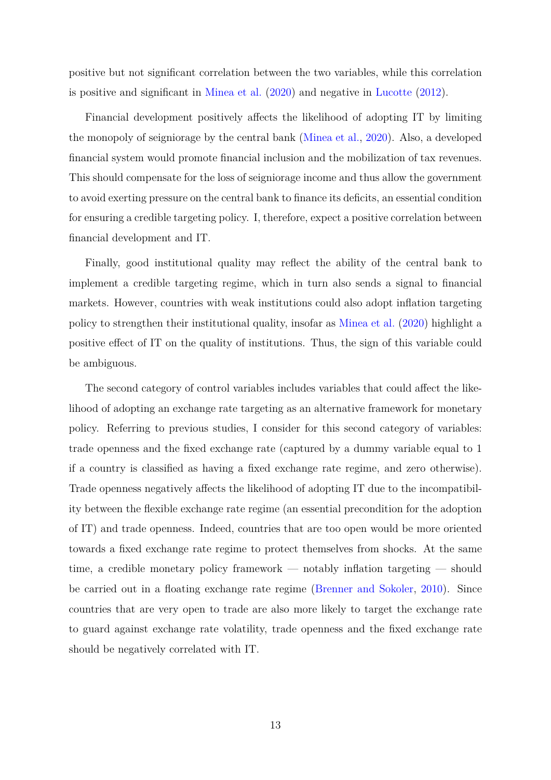positive but not significant correlation between the two variables, while this correlation is positive and significant in [Minea et al.](#page-32-5) [\(2020\)](#page-32-5) and negative in [Lucotte](#page-32-3) [\(2012\)](#page-32-3).

Financial development positively affects the likelihood of adopting IT by limiting the monopoly of seigniorage by the central bank [\(Minea et al.,](#page-32-5) [2020\)](#page-32-5). Also, a developed financial system would promote financial inclusion and the mobilization of tax revenues. This should compensate for the loss of seigniorage income and thus allow the government to avoid exerting pressure on the central bank to finance its deficits, an essential condition for ensuring a credible targeting policy. I, therefore, expect a positive correlation between financial development and IT.

Finally, good institutional quality may reflect the ability of the central bank to implement a credible targeting regime, which in turn also sends a signal to financial markets. However, countries with weak institutions could also adopt inflation targeting policy to strengthen their institutional quality, insofar as [Minea et al.](#page-32-5) [\(2020\)](#page-32-5) highlight a positive effect of IT on the quality of institutions. Thus, the sign of this variable could be ambiguous.

The second category of control variables includes variables that could affect the likelihood of adopting an exchange rate targeting as an alternative framework for monetary policy. Referring to previous studies, I consider for this second category of variables: trade openness and the fixed exchange rate (captured by a dummy variable equal to 1 if a country is classified as having a fixed exchange rate regime, and zero otherwise). Trade openness negatively affects the likelihood of adopting IT due to the incompatibility between the flexible exchange rate regime (an essential precondition for the adoption of IT) and trade openness. Indeed, countries that are too open would be more oriented towards a fixed exchange rate regime to protect themselves from shocks. At the same time, a credible monetary policy framework — notably inflation targeting — should be carried out in a floating exchange rate regime [\(Brenner and Sokoler,](#page-30-9) [2010\)](#page-30-9). Since countries that are very open to trade are also more likely to target the exchange rate to guard against exchange rate volatility, trade openness and the fixed exchange rate should be negatively correlated with IT.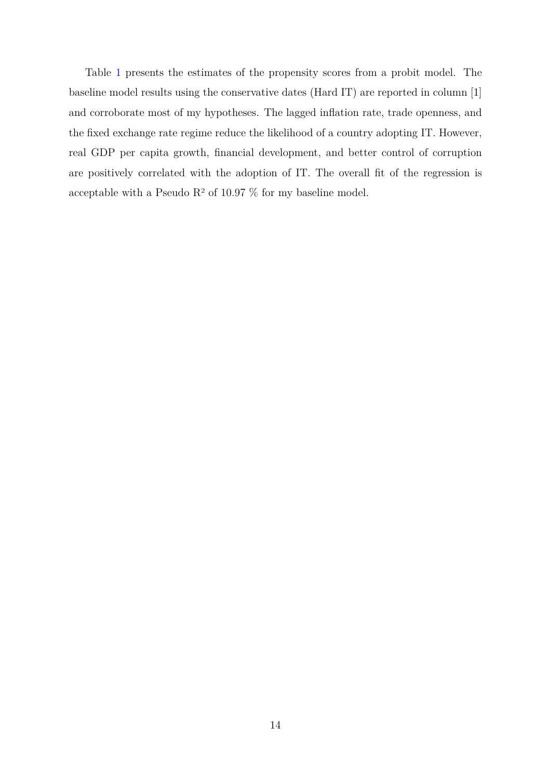Table [1](#page-14-0) presents the estimates of the propensity scores from a probit model. The baseline model results using the conservative dates (Hard IT) are reported in column [1] and corroborate most of my hypotheses. The lagged inflation rate, trade openness, and the fixed exchange rate regime reduce the likelihood of a country adopting IT. However, real GDP per capita growth, financial development, and better control of corruption are positively correlated with the adoption of IT. The overall fit of the regression is acceptable with a Pseudo  $\mathbb{R}^2$  of 10.97 % for my baseline model.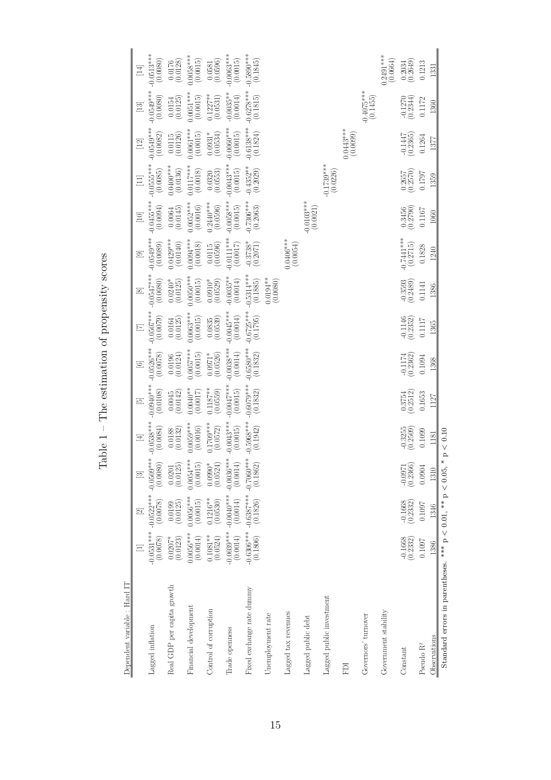| くこくてく<br>ļ<br>l<br>١<br>ľ<br>C + 2010 00 00 + 0<br>I<br>ı |
|-----------------------------------------------------------|
|                                                           |
| $\frac{1}{2}$<br>$\frac{1}{2}$                            |
| ،<br>و<br>i<br>ĺ                                          |
| ۱                                                         |
| ٦<br>I                                                    |

Dependent variable : Hard IT

<span id="page-14-0"></span>

|                                                                  |                          | $\boxed{2}$                                  | $\boxed{2}$                                       | $\equiv$                 | 运                        | $\odot$                                                       |                          | $\boxed{\infty}$          | $\circ$                       | $\boxed{10}$             | $\Xi$                     | $[12]$                                            | $\begin{bmatrix} 13 \end{bmatrix}$                | $\Xi$                                             |
|------------------------------------------------------------------|--------------------------|----------------------------------------------|---------------------------------------------------|--------------------------|--------------------------|---------------------------------------------------------------|--------------------------|---------------------------|-------------------------------|--------------------------|---------------------------|---------------------------------------------------|---------------------------------------------------|---------------------------------------------------|
| Lagged inflation                                                 | $-0.0531***$<br>(0.0078) | $-0.0522$ **** $-0.0509$ **<br>(0.0078)      | (0.0080)                                          | $-0.0538***$<br>(0.0084) | $-0.0940***$<br>(0.0108) | $-0.0526***$<br>(0.0078)                                      | $0.0507***$<br>(0.0079)  | $0.0547***$<br>(0.0080)   | $0.0549***$<br>(0.0089)       | $-0.0455***$<br>(600.0)  | $0.0553***$<br>(0.0085)   | $-0.0549***$<br>(0.0082)                          | $0.0549***$<br>(0.0080)                           | $0.0513***$<br>(0.0080)                           |
| Real GDP per capita growth                                       | (0.0123)<br>$0.0207*$    | $(0.0199$<br>$(0.0125)$                      | $\begin{array}{c} 0.0201 \\ (0.0125) \end{array}$ | (0.0132)                 | $\binom{0.0045}{0.0142}$ | $\left( \begin{matrix} 0.0196 \\ 0.0124 \end{matrix} \right)$ | $(0.0164$<br>$(0.0125)$  | $0.0240*$<br>(0.0125)     | $0.0429***$<br>(0.0140)       | (0.0064)                 | $0.0400***$<br>(0.0136)   | $\begin{array}{c} 0.0115 \\ (0.0126) \end{array}$ | $\begin{array}{c} 0.0154 \\ (0.0125) \end{array}$ | $\begin{array}{c} 0.0176 \\ (0.0128) \end{array}$ |
| Financial development                                            | $0.0056***$<br>(0.0014)  | $0.0056***$<br>(0.0015)                      | $0.0054***$<br>(0.0015)                           | $0.0059***$<br>(0.0016)  | $0.0040**$<br>(0.0017)   | $0.0057***$<br>(0.0015)                                       | $0.0063***$<br>(0.0015)  | $0.0050***$<br>(0.0015)   | $0.0094***$<br>(0.0018)       | $0.0052***$<br>(0.0016)  | $0.0117***$<br>(0.0018)   | $0.0061***$<br>(0.0015)                           | $0.0051***$<br>(0.0015)                           | $0.0058***$<br>(0.0015)                           |
| Control of corruption                                            | $0.1081**$<br>(0.0524)   | $(0.1216**$<br>$(0.0530)$                    | $0.0990*$<br>(0.0524)                             | $0.1709***$<br>(0.0572)  | $(0.1187**$<br>(0.0559)  | (0.0526)<br>$0.0971*$                                         | $(0.0835)$<br>$(0.0539)$ | $(0.0910^{*}$<br>(0.0529) | $(0.0115$<br>$(0.0596)$       | $0.240***$<br>(0.0596)   | (0.0320)                  | $0.0931*$<br>(0.0534)                             | $0.1227**$<br>(0.0531)                            | $(0.0581)$<br>$(0.0596)$                          |
| Trade openness                                                   | -0.0039***<br>(0.0014)   | $-0.0010^{***}$<br>(0.0014)                  | (0.0014)                                          | $0.0043***$<br>(0.0015)  | $-0.0047***$<br>(0.0015) | $-0.0038***$<br>(0.0014)                                      | $-0.0045***$<br>(0.0014) | $-0.0035**$<br>(0.0014)   | $0.0111***$<br>(0.0017)       | $-0.0058***$<br>(0.0015) | $-0.0043***$<br>(0.0015)  | $-0.0060***$<br>$(0.0015)$                        | $-0.0035***$<br>(0.0014)                          | $0.0063***$<br>(0.0015)                           |
| Fixed exchange rate dummy                                        | (0.1806)<br>$-0.6306***$ | $-0.6387*** -0.7060***$<br>(0.1826) (0.1862) |                                                   | $-0.5968***$<br>(0.1942) | $-0.6079***$<br>(0.1832) | $-0.6580***$<br>(0.1832)                                      | $-0.6725***$<br>(0.1795) | $0.5314***$<br>$(0.1885)$ | $\, -0.3738^* \atop (0.2071)$ | $-0.7306***$<br>(0.2063) | $-0.4352**$<br>$(0.2029)$ | $-0.6138***$<br>(0.1824)                          | $-0.6278***$<br>(0.1815)                          | $0.5890***$<br>(0.1845)                           |
| Unemployment rate                                                |                          |                                              |                                                   |                          |                          |                                                               |                          | $(0.0194**$               |                               |                          |                           |                                                   |                                                   |                                                   |
| Lagged tax revenues                                              |                          |                                              |                                                   |                          |                          |                                                               |                          |                           | .0406***<br>(0.0054)          |                          |                           |                                                   |                                                   |                                                   |
| Lagged public debt                                               |                          |                                              |                                                   |                          |                          |                                                               |                          |                           |                               | $-0.0103***$<br>(0.0021) |                           |                                                   |                                                   |                                                   |
| Lagged public investment                                         |                          |                                              |                                                   |                          |                          |                                                               |                          |                           |                               |                          | $-0.1739***$              |                                                   |                                                   |                                                   |
| EDI                                                              |                          |                                              |                                                   |                          |                          |                                                               |                          |                           |                               |                          |                           | $0.0443***$<br>(0.0099)                           |                                                   |                                                   |
| Governors' turnover                                              |                          |                                              |                                                   |                          |                          |                                                               |                          |                           |                               |                          |                           |                                                   | $-0.4075***$<br>(0.1455)                          |                                                   |
| Government stability                                             |                          |                                              |                                                   |                          |                          |                                                               |                          |                           |                               |                          |                           |                                                   |                                                   | $0.2491***$<br>(0.0664)                           |
| Constant                                                         | $-0.1668$<br>$(0.2332)$  | $-0.1668$<br>$(0.2332)$                      | $-0.0971$<br>$(0.2366)$                           | $-0.3255$<br>$(0.2509)$  | $\binom{0.3754}{0.2512}$ | $-0.1174$<br>$(0.2362)$                                       | $-0.1146$<br>$(0.2352)$  | $(0.3593)$<br>$(0.2489)$  | $-0.7441***$<br>(0.2715)      | $(0.3456$<br>$(0.2790)$  | $\binom{0.2657}{0.2570}$  | $-0.1447$<br>$(0.2365)$                           | $-0.1270$<br>$(0.2344)$                           | (0.2034)                                          |
| Pseudo $\rm R^2$                                                 | 0.1097                   | 0.1097                                       | 0.0904                                            | 0.1099                   | 0.1653                   | 0.1094                                                        | 0.1117                   | 0.1141                    | 0.1828                        | 0.1167                   | 1797                      | 0.1264                                            | 0.1172                                            | 0.1213                                            |
| Observations                                                     | 1386                     | 1346                                         | 1310                                              | 1181                     | 1127                     | 1368                                                          | 1365                     | 1386                      | 1240                          | 1060                     | 1359                      | 1377                                              | 1360                                              | 1331                                              |
| Standard errors in parentheses. *** $p < 0.01$ , ** $p < 0.05$ , |                          |                                              |                                                   | < 0.10<br>$\sim$         |                          |                                                               |                          |                           |                               |                          |                           |                                                   |                                                   |                                                   |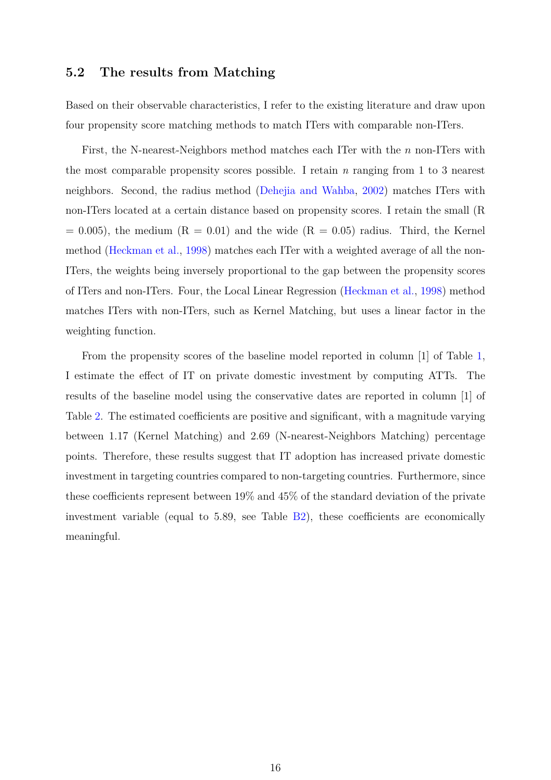### <span id="page-15-0"></span>**5.2 The results from Matching**

Based on their observable characteristics, I refer to the existing literature and draw upon four propensity score matching methods to match ITers with comparable non-ITers.

First, the N-nearest-Neighbors method matches each ITer with the *n* non-ITers with the most comparable propensity scores possible. I retain *n* ranging from 1 to 3 nearest neighbors. Second, the radius method [\(Dehejia and Wahba,](#page-31-6) [2002\)](#page-31-6) matches ITers with non-ITers located at a certain distance based on propensity scores. I retain the small (R  $= 0.005$ , the medium  $(R = 0.01)$  and the wide  $(R = 0.05)$  radius. Third, the Kernel method [\(Heckman et al.,](#page-31-7) [1998\)](#page-31-7) matches each ITer with a weighted average of all the non-ITers, the weights being inversely proportional to the gap between the propensity scores of ITers and non-ITers. Four, the Local Linear Regression [\(Heckman et al.,](#page-31-7) [1998\)](#page-31-7) method matches ITers with non-ITers, such as Kernel Matching, but uses a linear factor in the weighting function.

From the propensity scores of the baseline model reported in column [1] of Table [1,](#page-14-0) I estimate the effect of IT on private domestic investment by computing ATTs. The results of the baseline model using the conservative dates are reported in column [1] of Table [2.](#page-16-0) The estimated coefficients are positive and significant, with a magnitude varying between 1.17 (Kernel Matching) and 2.69 (N-nearest-Neighbors Matching) percentage points. Therefore, these results suggest that IT adoption has increased private domestic investment in targeting countries compared to non-targeting countries. Furthermore, since these coefficients represent between 19% and 45% of the standard deviation of the private investment variable (equal to 5.89, see Table [B2\)](#page-36-0), these coefficients are economically meaningful.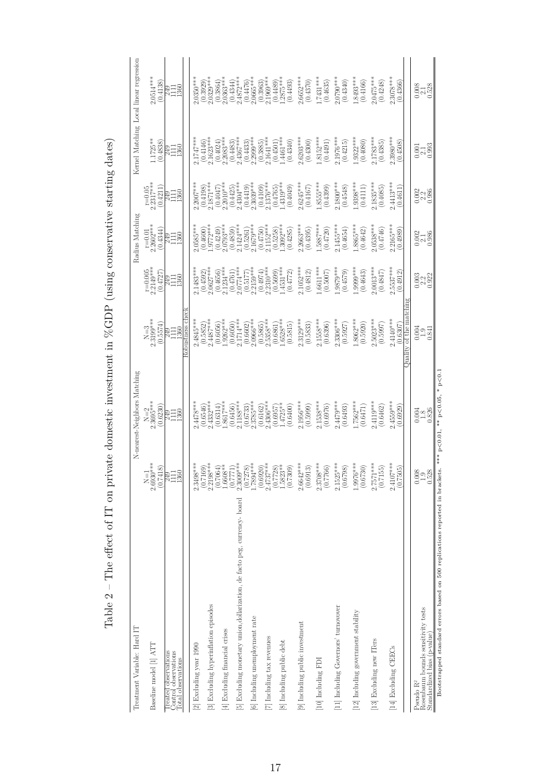| I<br>l                                                                                                             |
|--------------------------------------------------------------------------------------------------------------------|
| とうしょう こうしょく<br>ĺ<br>)                                                                                              |
| $\frac{1}{2}$<br>ו<br>ו                                                                                            |
| $\frac{1}{2}$<br>)                                                                                                 |
| ーーマン                                                                                                               |
|                                                                                                                    |
| $\frac{1}{2}$<br>じゅうしょう                                                                                            |
| i<br>I<br>计交换程序 人名英格兰人姓氏                                                                                           |
| i<br>i                                                                                                             |
| .<br>.<br>.<br>.<br>.                                                                                              |
|                                                                                                                    |
| ļ<br>ł                                                                                                             |
| $\overline{a}$<br>$\frac{1}{1}$<br>5<br>J<br>ā                                                                     |
| ς<br>֧֧֧֧֧֦֧ׅ֧֧֦֧ׅ֧֧ׅ֧֧֧֧֦֧ׅ֧֧֧֧֧֧֧֧֧֧֧֧֧֧֧֧֧֧֧֧֧֧֛֚֚֚֚֚֚֚֚֚֚֚֚֚֚֚֚֚֚֚֚֚֚֚֚֚֚֚֝֝֓֝֓֝֓֜֝֓֜֓֜֝֬֜֝֬֝֬֝֬<br>ĺ<br>I     |
| $\overline{\phantom{a}}$<br>1<br>١<br>¢<br>1<br>Ó<br>ℷ<br>3<br>$\frac{1}{2}$<br>$\overline{\phantom{a}}$<br>ł<br>Ξ |

<span id="page-16-0"></span>

| Treatment Variable: Hard IT                                                                |                                                      | N-nearest-Neighbors Matching   |                                         |                                                      | Radius Matching                                      |                                                      |                                                        | Kernel Matching Local linear regression                             |
|--------------------------------------------------------------------------------------------|------------------------------------------------------|--------------------------------|-----------------------------------------|------------------------------------------------------|------------------------------------------------------|------------------------------------------------------|--------------------------------------------------------|---------------------------------------------------------------------|
|                                                                                            |                                                      |                                |                                         |                                                      |                                                      |                                                      |                                                        |                                                                     |
| Baseline model [1] ATT                                                                     | $2.6930***$<br>(0.7418)<br>$N=1$                     | $N=2$<br>2.3695***<br>(0.6230) | $2.3199***$<br>(0.5574)<br>$N=3$        | $r=0.005$<br>2.2149***<br>(0.4727)                   | $r=0.01$<br>2.2602***<br>(0.4344)                    | $r=0.05$<br>2.2317***<br>(0.4211)                    | $1.1725***$<br>(0.4838)                                | $2.0514***$<br>(0.4138)                                             |
| Control observations<br>Treated observations<br><b>Cotal</b> observations                  | <b>P49</b><br>1111<br>1360                           | RH<br>NH360<br>1360            | 249<br>1111<br>1360                     | 1111<br>1360<br>34                                   | RHS<br>NHS<br>NHS                                    | 249<br>1116<br>11360                                 | 3130                                                   | <b>RH</b><br>NH360                                                  |
|                                                                                            |                                                      |                                | obustness cheo                          |                                                      |                                                      |                                                      |                                                        |                                                                     |
| [2] Excluding year 1990                                                                    | $2.3498***$                                          | $4478***$                      | 2.4845***                               | $1483***$                                            | $.0585***$                                           | $2.2007***$                                          | $1747***$                                              | $0350***$                                                           |
| [3] Excluding hyperinflation episodes                                                      | $2.2198***$<br>(0.7169)                              | $2.4332***$<br>(0.6546)        | $2.4487***$<br>(0.5852)                 | $(0.4592)$<br>$2.0627***$                            | $(0.4600)$<br>$-9772***$                             | $.1871***$<br>(0.4198)                               | $.1623***$<br>(0.4146)                                 | $2.0329***$<br>(0.3929)                                             |
|                                                                                            | $(0.7064)$<br>1.6608**                               | (0.6314)                       | (0.6056)                                | (0.4656)                                             | $\begin{array}{c} (0.4249) \\ 2.0793*** \end{array}$ | $(0.4047)$<br>2.2010***                              | (0.4024)                                               | $(0.3864)$<br>$2.0363***$                                           |
| [4] Excluding financial crises                                                             |                                                      | $-8617***$                     | $.9262***$                              | $2.1234***$                                          |                                                      |                                                      | $2.2083***$                                            |                                                                     |
| [5] Excluding monetary union, dollarization, de facto peg, currency- board                 | $\begin{array}{c} (0.7771) \\ 2.3009*** \end{array}$ | $2.1188***$<br>(0.6456)        | $2.1714***$<br>(0.6050)                 | $2.0774***$<br>(0.4761)                              | $.1424***$<br>(0.4859)                               | $4304***$<br>(0.4425)                                | $4367***$<br>(0.4483)                                  | $2.4872***$<br>(0.4344)                                             |
| [6] Including unemployment rate                                                            | $\frac{(0.7278)}{1.7894***}$                         | $2.3785***$<br>(0.6733)        | $2.0966***$<br>(0.6602)                 | $(0.5177)$<br>2.2159***                              | $\binom{0.5261}{2.1679}$                             | $\frac{(0.4419)}{2.3039***}$                         | $\begin{array}{c} (0.4433) \\ 2.2999*** \end{array}$   | $(0.4476)$<br>$2.0665***$                                           |
|                                                                                            | $\substack{(0.6920) \\ 2.4737***}$                   | (0.6162)                       | (0.5865)                                | $\begin{array}{c} (0.4974) \\ 2.2310*** \end{array}$ | (0.4750)                                             | $\begin{array}{c} (0.4109) \\ 2.1376*** \end{array}$ | $\binom{0.3885}{2.1641***}$                            | $(0.3963)$<br>2.1969***                                             |
| [7] Including tax revenues                                                                 |                                                      | $2.4306***$<br>(0.6957)        | $2.5358***$<br>(0.6861)                 | (0.5699)                                             | $2.1152***$                                          |                                                      |                                                        |                                                                     |
| [8] Including public debt                                                                  | $(0.7728)$<br>1.5823**<br>(0.7309)                   | $1.4725**$<br>(0.6400)         | $.6528***$<br>(0.5815)                  | $1.4531***$<br>(0.4772)                              | $(0.5258)$<br>1.3092***<br>(0.4285)                  | $(0.4765)$<br>1.4319***<br>(0.4049)                  | $(0.4501)$<br>1.4461***<br>(0.4340)                    | $\begin{array}{c} (0.4489) \\ 1.2875^{***} \\ (0.4493) \end{array}$ |
| [9] Including public investment                                                            | $2.6642***$<br>(0.6913)                              | 2.1956 ***<br>(0.5999)         | 2.3129***<br>(0.5833)                   | $2.1052***$<br>(0.4812)                              | $2.2663***$<br>(0.4395)                              | $2.6245***$<br>(0.4167)                              | $2.6203***$<br>(0.4300)                                | $2.6652***$<br>(0.4370)                                             |
| [10] Including FDI                                                                         | $2.3708***$<br>(0.7766)                              | $2.1538***$<br>(0.6976)        | $2.1558***$<br>(0.6396)                 | 1.6611***<br>(0.5007)                                | 1.5887***<br>(0.4720)                                | $1.8555***$<br>(0.4399)                              | $1.8152***$<br>(0.4491)                                | $1.7431***$<br>(0.4635)                                             |
| [11] Including Governors' turnovover                                                       | $2.1525***$<br>$(0.6798)$                            | 2.4479***<br>(0.6493)          | 2.3306***<br>(0.5927)                   | $.9879***$<br>(0.4579)                               | 11455***<br>(0.4654)                                 | $2.1800$ ***<br>(0.4548)                             | 2.1976***<br>(0.4215)                                  | $0.0790$ ***<br>(0.4340)                                            |
| [12] Including government stability                                                        | 1.9976***<br>(0.6730)                                | .7562****<br>(0.6471)          | 8062***<br>(0.5920)                     | $0.999$ ***<br>(0.4643)                              | .8865***<br>(0.4642)                                 | .9398***<br>(0.4111)                                 | $.9322***$<br>(0.4080)                                 | $.8493***$<br>(0.4166)                                              |
| [13] Excluding new ITers                                                                   | $2.7571***$<br>(0.7155)                              | $2.4119***$<br>(0.6462)        | $2.5023***$<br>(0.5997)                 | $2.0013***$<br>(0.4847)                              | $0.0538***$<br>(0.4746)                              | 1.1835***<br>(0.4085)                                | $2.1783***$<br>(0.4385)                                | $2.0475***$<br>(0.4248)                                             |
| [14] Excluding CEECs                                                                       | $2.4107***$<br>(0.7505)                              | 2.4559***<br>0.6929            | ity of the mat<br>$2.4140***$<br>0.6307 | 2.5537***<br>0.4912                                  | $2165***$<br>0.4989                                  | $2.4413***$<br>(0.4611)                              | .3980***<br>0.4508                                     | $2.3078***$<br>0.4366                                               |
|                                                                                            |                                                      |                                |                                         |                                                      |                                                      |                                                      |                                                        |                                                                     |
| Rosenbaum bounds sensitivity tests<br>Standardized bias (p-value)<br>Pseudo R <sup>2</sup> | $\frac{0.008}{1.9}$<br>0.528                         | $0.326$<br>$0.826$             | 1.841<br>$^{0.004}_{-1.0}$              | $\frac{0.003}{0.922}$                                | $\frac{0.002}{2.186}$                                | $\frac{0.002}{2.386}$                                | $\begin{array}{c} 0.001 \\ 2.193 \\ 0.993 \end{array}$ | $\frac{0.008}{2.128}$                                               |
| Bootstrapped standard errors based on 500 replications reported in brackets                |                                                      | *** p<0.01, ** p<0.05, * p<0.1 |                                         |                                                      |                                                      |                                                      |                                                        |                                                                     |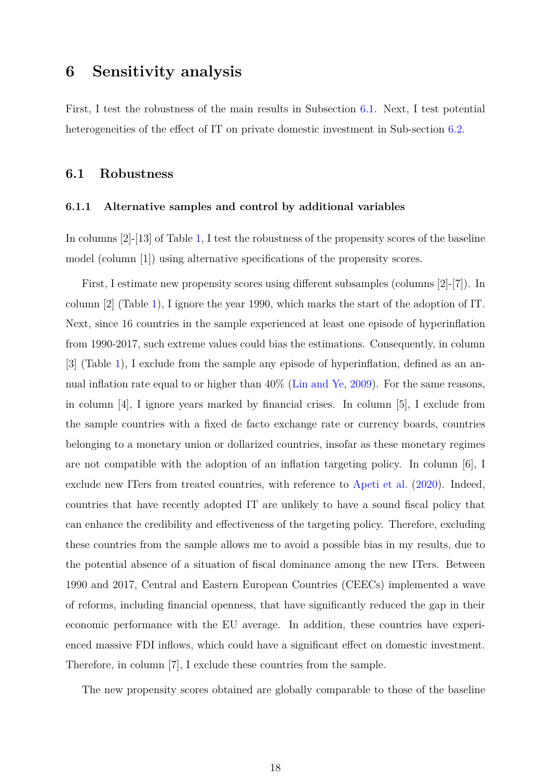### <span id="page-17-0"></span>**6 Sensitivity analysis**

First, I test the robustness of the main results in Subsection [6.1.](#page-17-1) Next, I test potential heterogeneities of the effect of IT on private domestic investment in Sub-section [6.2.](#page-21-0)

#### <span id="page-17-1"></span>**6.1 Robustness**

#### **6.1.1 Alternative samples and control by additional variables**

In columns [2]-[13] of Table [1,](#page-14-0) I test the robustness of the propensity scores of the baseline model (column [1]) using alternative specifications of the propensity scores.

First, I estimate new propensity scores using different subsamples (columns [2]-[7]). In column [2] (Table [1\)](#page-14-0), I ignore the year 1990, which marks the start of the adoption of IT. Next, since 16 countries in the sample experienced at least one episode of hyperinflation from 1990-2017, such extreme values could bias the estimations. Consequently, in column [3] (Table [1\)](#page-14-0), I exclude from the sample any episode of hyperinflation, defined as an annual inflation rate equal to or higher than 40% [\(Lin and Ye,](#page-32-1) [2009\)](#page-32-1). For the same reasons, in column [4], I ignore years marked by financial crises. In column [5], I exclude from the sample countries with a fixed de facto exchange rate or currency boards, countries belonging to a monetary union or dollarized countries, insofar as these monetary regimes are not compatible with the adoption of an inflation targeting policy. In column [6], I exclude new ITers from treated countries, with reference to [Apeti et al.](#page-30-3) [\(2020\)](#page-30-3). Indeed, countries that have recently adopted IT are unlikely to have a sound fiscal policy that can enhance the credibility and effectiveness of the targeting policy. Therefore, excluding these countries from the sample allows me to avoid a possible bias in my results, due to the potential absence of a situation of fiscal dominance among the new ITers. Between 1990 and 2017, Central and Eastern European Countries (CEECs) implemented a wave of reforms, including financial openness, that have significantly reduced the gap in their economic performance with the EU average. In addition, these countries have experienced massive FDI inflows, which could have a significant effect on domestic investment. Therefore, in column [7], I exclude these countries from the sample.

The new propensity scores obtained are globally comparable to those of the baseline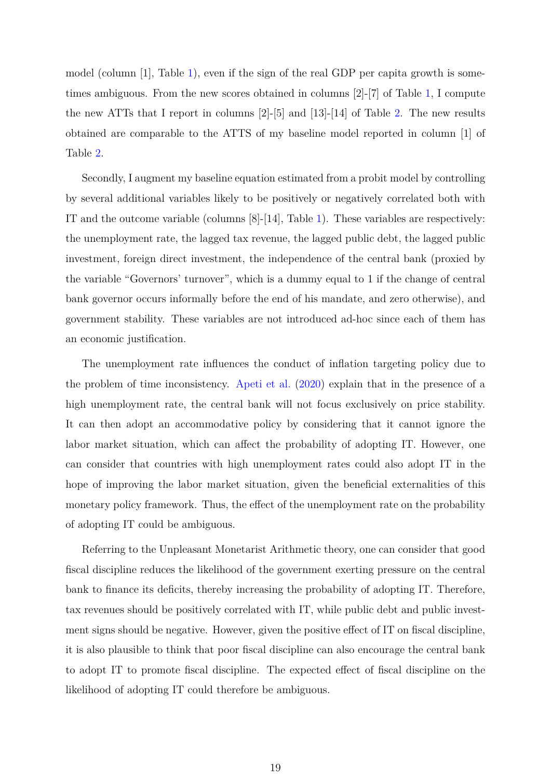model (column [1], Table [1\)](#page-14-0), even if the sign of the real GDP per capita growth is sometimes ambiguous. From the new scores obtained in columns [2]-[7] of Table [1,](#page-14-0) I compute the new ATTs that I report in columns [2]-[5] and [13]-[14] of Table [2.](#page-16-0) The new results obtained are comparable to the ATTS of my baseline model reported in column [1] of Table [2.](#page-16-0)

Secondly, I augment my baseline equation estimated from a probit model by controlling by several additional variables likely to be positively or negatively correlated both with IT and the outcome variable (columns  $[8]-[14]$ , Table [1\)](#page-14-0). These variables are respectively: the unemployment rate, the lagged tax revenue, the lagged public debt, the lagged public investment, foreign direct investment, the independence of the central bank (proxied by the variable "Governors' turnover", which is a dummy equal to 1 if the change of central bank governor occurs informally before the end of his mandate, and zero otherwise), and government stability. These variables are not introduced ad-hoc since each of them has an economic justification.

The unemployment rate influences the conduct of inflation targeting policy due to the problem of time inconsistency. [Apeti et al.](#page-30-3) [\(2020\)](#page-30-3) explain that in the presence of a high unemployment rate, the central bank will not focus exclusively on price stability. It can then adopt an accommodative policy by considering that it cannot ignore the labor market situation, which can affect the probability of adopting IT. However, one can consider that countries with high unemployment rates could also adopt IT in the hope of improving the labor market situation, given the beneficial externalities of this monetary policy framework. Thus, the effect of the unemployment rate on the probability of adopting IT could be ambiguous.

Referring to the Unpleasant Monetarist Arithmetic theory, one can consider that good fiscal discipline reduces the likelihood of the government exerting pressure on the central bank to finance its deficits, thereby increasing the probability of adopting IT. Therefore, tax revenues should be positively correlated with IT, while public debt and public investment signs should be negative. However, given the positive effect of IT on fiscal discipline, it is also plausible to think that poor fiscal discipline can also encourage the central bank to adopt IT to promote fiscal discipline. The expected effect of fiscal discipline on the likelihood of adopting IT could therefore be ambiguous.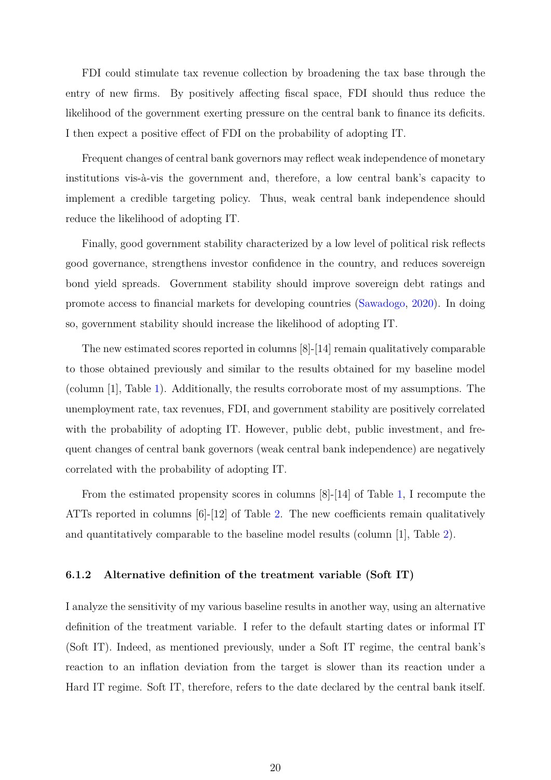FDI could stimulate tax revenue collection by broadening the tax base through the entry of new firms. By positively affecting fiscal space, FDI should thus reduce the likelihood of the government exerting pressure on the central bank to finance its deficits. I then expect a positive effect of FDI on the probability of adopting IT.

Frequent changes of central bank governors may reflect weak independence of monetary institutions vis-à-vis the government and, therefore, a low central bank's capacity to implement a credible targeting policy. Thus, weak central bank independence should reduce the likelihood of adopting IT.

Finally, good government stability characterized by a low level of political risk reflects good governance, strengthens investor confidence in the country, and reduces sovereign bond yield spreads. Government stability should improve sovereign debt ratings and promote access to financial markets for developing countries [\(Sawadogo,](#page-33-7) [2020\)](#page-33-7). In doing so, government stability should increase the likelihood of adopting IT.

The new estimated scores reported in columns [8]-[14] remain qualitatively comparable to those obtained previously and similar to the results obtained for my baseline model (column [1], Table [1\)](#page-14-0). Additionally, the results corroborate most of my assumptions. The unemployment rate, tax revenues, FDI, and government stability are positively correlated with the probability of adopting IT. However, public debt, public investment, and frequent changes of central bank governors (weak central bank independence) are negatively correlated with the probability of adopting IT.

From the estimated propensity scores in columns [8]-[14] of Table [1,](#page-14-0) I recompute the ATTs reported in columns  $[6]-12$  of Table [2.](#page-16-0) The new coefficients remain qualitatively and quantitatively comparable to the baseline model results (column [1], Table [2\)](#page-16-0).

#### **6.1.2 Alternative definition of the treatment variable (Soft IT)**

I analyze the sensitivity of my various baseline results in another way, using an alternative definition of the treatment variable. I refer to the default starting dates or informal IT (Soft IT). Indeed, as mentioned previously, under a Soft IT regime, the central bank's reaction to an inflation deviation from the target is slower than its reaction under a Hard IT regime. Soft IT, therefore, refers to the date declared by the central bank itself.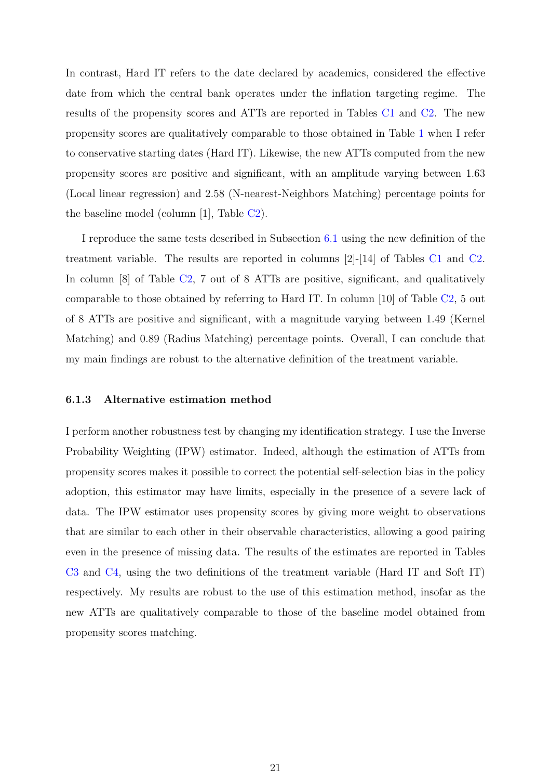In contrast, Hard IT refers to the date declared by academics, considered the effective date from which the central bank operates under the inflation targeting regime. The results of the propensity scores and ATTs are reported in Tables [C1](#page-37-0) and [C2.](#page-38-0) The new propensity scores are qualitatively comparable to those obtained in Table [1](#page-14-0) when I refer to conservative starting dates (Hard IT). Likewise, the new ATTs computed from the new propensity scores are positive and significant, with an amplitude varying between 1.63 (Local linear regression) and 2.58 (N-nearest-Neighbors Matching) percentage points for the baseline model (column [1], Table [C2\)](#page-38-0).

I reproduce the same tests described in Subsection [6.1](#page-17-1) using the new definition of the treatment variable. The results are reported in columns [2]-[14] of Tables [C1](#page-37-0) and [C2.](#page-38-0) In column [8] of Table [C2,](#page-38-0) 7 out of 8 ATTs are positive, significant, and qualitatively comparable to those obtained by referring to Hard IT. In column [10] of Table [C2,](#page-38-0) 5 out of 8 ATTs are positive and significant, with a magnitude varying between 1.49 (Kernel Matching) and 0.89 (Radius Matching) percentage points. Overall, I can conclude that my main findings are robust to the alternative definition of the treatment variable.

#### **6.1.3 Alternative estimation method**

I perform another robustness test by changing my identification strategy. I use the Inverse Probability Weighting (IPW) estimator. Indeed, although the estimation of ATTs from propensity scores makes it possible to correct the potential self-selection bias in the policy adoption, this estimator may have limits, especially in the presence of a severe lack of data. The IPW estimator uses propensity scores by giving more weight to observations that are similar to each other in their observable characteristics, allowing a good pairing even in the presence of missing data. The results of the estimates are reported in Tables [C3](#page-39-0) and [C4,](#page-40-0) using the two definitions of the treatment variable (Hard IT and Soft IT) respectively. My results are robust to the use of this estimation method, insofar as the new ATTs are qualitatively comparable to those of the baseline model obtained from propensity scores matching.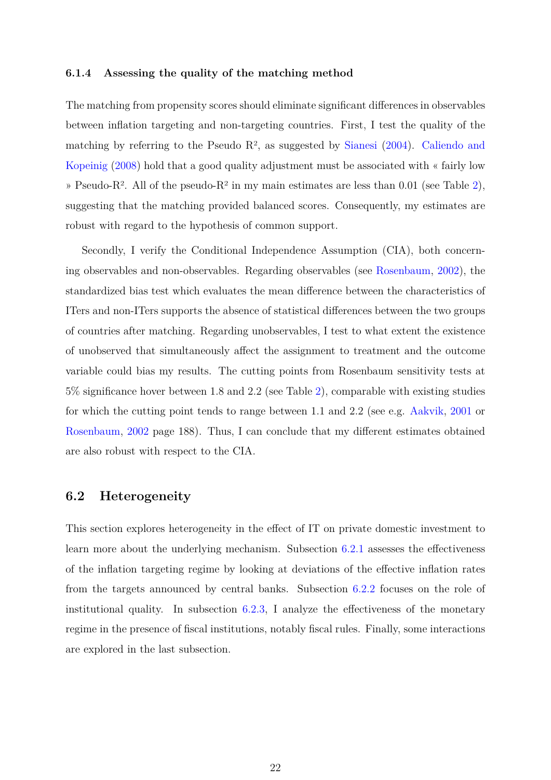#### **6.1.4 Assessing the quality of the matching method**

The matching from propensity scores should eliminate significant differences in observables between inflation targeting and non-targeting countries. First, I test the quality of the matching by referring to the Pseudo  $\mathbb{R}^2$ , as suggested by [Sianesi](#page-33-8) [\(2004\)](#page-33-8). [Caliendo and](#page-30-10) [Kopeinig](#page-30-10) [\(2008\)](#page-30-10) hold that a good quality adjustment must be associated with « fairly low » Pseudo-R<sup>2</sup>. All of the pseudo-R<sup>2</sup> in my main estimates are less than 0.01 (see Table [2\)](#page-16-0), suggesting that the matching provided balanced scores. Consequently, my estimates are robust with regard to the hypothesis of common support.

Secondly, I verify the Conditional Independence Assumption (CIA), both concerning observables and non-observables. Regarding observables (see [Rosenbaum,](#page-33-9) [2002\)](#page-33-9), the standardized bias test which evaluates the mean difference between the characteristics of ITers and non-ITers supports the absence of statistical differences between the two groups of countries after matching. Regarding unobservables, I test to what extent the existence of unobserved that simultaneously affect the assignment to treatment and the outcome variable could bias my results. The cutting points from Rosenbaum sensitivity tests at 5% significance hover between 1.8 and 2.2 (see Table [2\)](#page-16-0), comparable with existing studies for which the cutting point tends to range between 1.1 and 2.2 (see e.g. [Aakvik,](#page-30-11) [2001](#page-30-11) or [Rosenbaum,](#page-33-9) [2002](#page-33-9) page 188). Thus, I can conclude that my different estimates obtained are also robust with respect to the CIA.

### <span id="page-21-0"></span>**6.2 Heterogeneity**

This section explores heterogeneity in the effect of IT on private domestic investment to learn more about the underlying mechanism. Subsection [6.2.1](#page-22-0) assesses the effectiveness of the inflation targeting regime by looking at deviations of the effective inflation rates from the targets announced by central banks. Subsection [6.2.2](#page-23-0) focuses on the role of institutional quality. In subsection  $6.2.3$ , I analyze the effectiveness of the monetary regime in the presence of fiscal institutions, notably fiscal rules. Finally, some interactions are explored in the last subsection.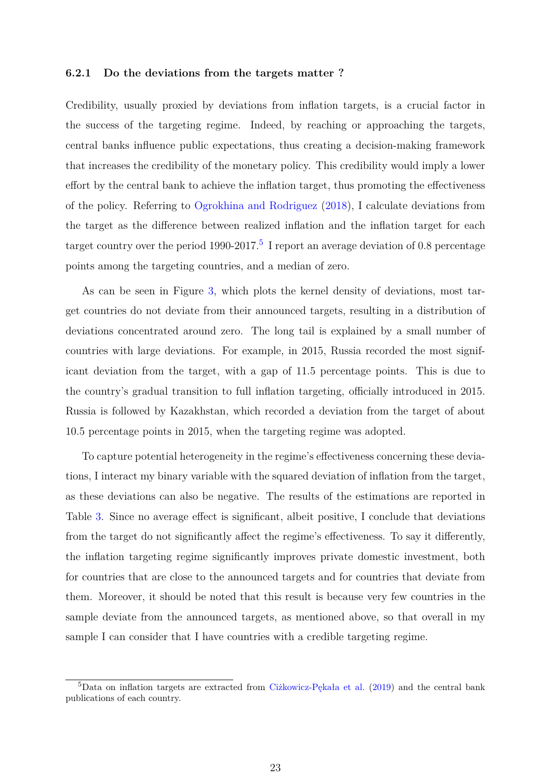#### <span id="page-22-0"></span>**6.2.1 Do the deviations from the targets matter ?**

Credibility, usually proxied by deviations from inflation targets, is a crucial factor in the success of the targeting regime. Indeed, by reaching or approaching the targets, central banks influence public expectations, thus creating a decision-making framework that increases the credibility of the monetary policy. This credibility would imply a lower effort by the central bank to achieve the inflation target, thus promoting the effectiveness of the policy. Referring to [Ogrokhina and Rodriguez](#page-32-11) [\(2018\)](#page-32-11), I calculate deviations from the target as the difference between realized inflation and the inflation target for each target country over the period 1990-2017.<sup>[5](#page-22-1)</sup> I report an average deviation of 0.8 percentage points among the targeting countries, and a median of zero.

As can be seen in Figure [3,](#page-23-1) which plots the kernel density of deviations, most target countries do not deviate from their announced targets, resulting in a distribution of deviations concentrated around zero. The long tail is explained by a small number of countries with large deviations. For example, in 2015, Russia recorded the most significant deviation from the target, with a gap of 11.5 percentage points. This is due to the country's gradual transition to full inflation targeting, officially introduced in 2015. Russia is followed by Kazakhstan, which recorded a deviation from the target of about 10.5 percentage points in 2015, when the targeting regime was adopted.

To capture potential heterogeneity in the regime's effectiveness concerning these deviations, I interact my binary variable with the squared deviation of inflation from the target, as these deviations can also be negative. The results of the estimations are reported in Table [3.](#page-23-2) Since no average effect is significant, albeit positive, I conclude that deviations from the target do not significantly affect the regime's effectiveness. To say it differently, the inflation targeting regime significantly improves private domestic investment, both for countries that are close to the announced targets and for countries that deviate from them. Moreover, it should be noted that this result is because very few countries in the sample deviate from the announced targets, as mentioned above, so that overall in my sample I can consider that I have countries with a credible targeting regime.

<span id="page-22-1"></span><sup>5</sup>Data on inflation targets are extracted from [Ciżkowicz-Pękała et al.](#page-30-8) [\(2019\)](#page-30-8) and the central bank publications of each country.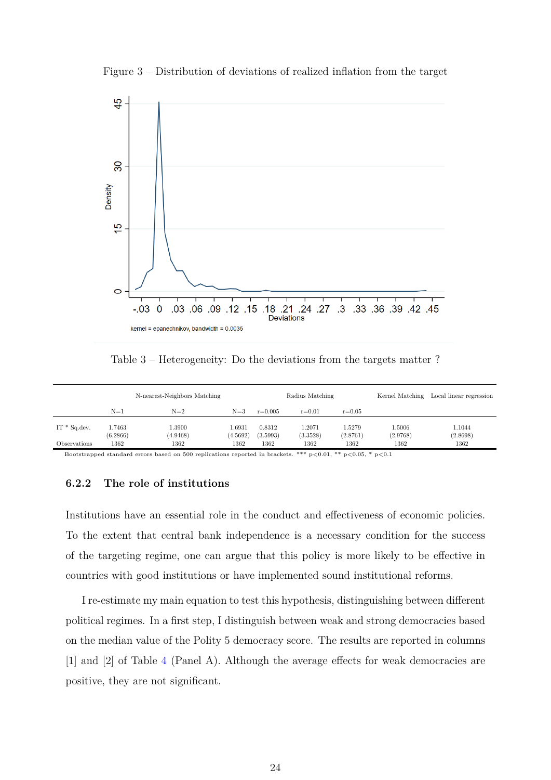Figure 3 – Distribution of deviations of realized inflation from the target

<span id="page-23-1"></span>

Table 3 – Heterogeneity: Do the deviations from the targets matter ?

<span id="page-23-2"></span>

|                 |                    | N-nearest-Neighbors Matching |                    |                    | Radius Matching    |                    |                    | Kernel Matching Local linear regression |
|-----------------|--------------------|------------------------------|--------------------|--------------------|--------------------|--------------------|--------------------|-----------------------------------------|
|                 | $N=1$              | $N=2$                        | $N=3$              | $r = 0.005$        | $r = 0.01$         | $r = 0.05$         |                    |                                         |
| $IT * Sq. dev.$ | 1.7463<br>(6.2866) | 1.3900<br>(4.9468)           | 1.6931<br>(4.5692) | 0.8312<br>(3.5993) | 1.2071<br>(3.3528) | 1.5279<br>(2.8761) | 1.5006<br>(2.9768) | 1.1044<br>(2.8698)                      |
| Observations    | 1362               | 1362                         | 1362               | 1362               | 1362               | 1362               | 1362               | 1362                                    |

Bootstrapped standard errors based on 500 replications reported in brackets. \*\*\* p<0.01, \*\* p<0.05, \* p<0.1

#### <span id="page-23-0"></span>**6.2.2 The role of institutions**

Institutions have an essential role in the conduct and effectiveness of economic policies. To the extent that central bank independence is a necessary condition for the success of the targeting regime, one can argue that this policy is more likely to be effective in countries with good institutions or have implemented sound institutional reforms.

I re-estimate my main equation to test this hypothesis, distinguishing between different political regimes. In a first step, I distinguish between weak and strong democracies based on the median value of the Polity 5 democracy score. The results are reported in columns [1] and [2] of Table [4](#page-24-0) (Panel A). Although the average effects for weak democracies are positive, they are not significant.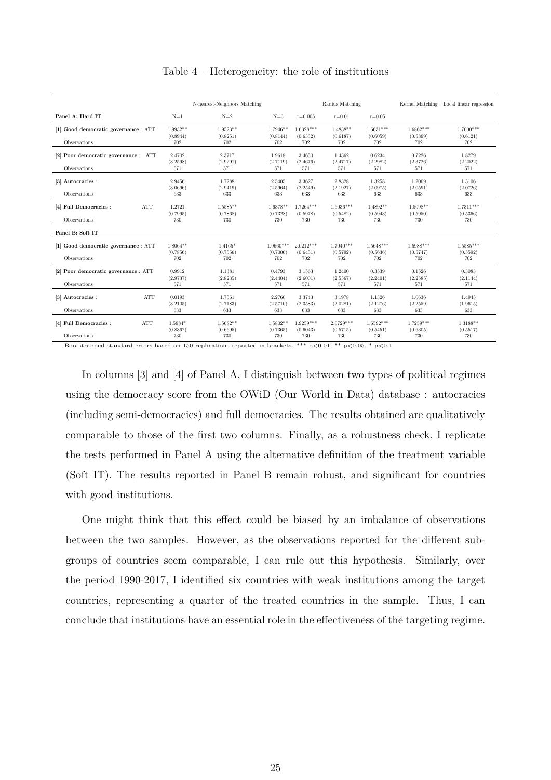<span id="page-24-0"></span>

|                                                      |                               | N-nearest-Neighbors Matching  |                                |                                | Radius Matching                |                                |                                | Kernel Matching Local linear regression |
|------------------------------------------------------|-------------------------------|-------------------------------|--------------------------------|--------------------------------|--------------------------------|--------------------------------|--------------------------------|-----------------------------------------|
| Panel A: Hard IT                                     | $N=1$                         | $N=2$                         | $N=3$                          | $r = 0.005$                    | $r = 0.01$                     | $r = 0.05$                     |                                |                                         |
| [1] Good democratic governance : ATT                 | $1.9932**$<br>(0.8944)        | $1.9523**$<br>(0.8251)        | $1.7946**$<br>(0.8144)         | $1.6328***$<br>(0.6332)        | $1.4838**$<br>(0.6187)         | $1.6631***$<br>(0.6059)        | $1.6862***$<br>(0.5899)        | $1.7000***$<br>(0.6121)                 |
| Observations                                         | 702                           | 702                           | 702                            | 702                            | 702                            | 702                            | 702                            | 702                                     |
| [2] Poor democratic governance : ATT<br>Observations | 2.4702<br>(3.2598)<br>571     | 2.3717<br>(2.9291)<br>571     | 1.9618<br>(2.7119)<br>571      | 3.4650<br>(2.4676)<br>571      | 1.4362<br>(2.4717)<br>571      | 0.6234<br>(2.2982)<br>571      | 0.7226<br>(2.3726)<br>571      | 1.8279<br>(2.2022)<br>571               |
| [3] Autocracies :<br>Observations                    | 2.9456<br>(3.0696)<br>633     | 1.7288<br>(2.9419)<br>633     | 2.5405<br>(2.5964)<br>633      | 3.3627<br>(2.2549)<br>633      | 2.8328<br>(2.1927)<br>633      | 1.3258<br>(2.0975)<br>633      | 1.2009<br>(2.0591)<br>633      | 1.5106<br>(2.0726)<br>633               |
| [4] Full Democracies :<br><b>ATT</b><br>Observations | 1.2721<br>(0.7995)<br>730     | $1.5585**$<br>(0.7868)<br>730 | $1.6378**$<br>(0.7328)<br>730  | $1.7264***$<br>(0.5978)<br>730 | $1.6036***$<br>(0.5482)<br>730 | $1.4892**$<br>(0.5943)<br>730  | $1.5098**$<br>(0.5950)<br>730  | $1.7311***$<br>(0.5366)<br>730          |
| Panel B: Soft IT                                     |                               |                               |                                |                                |                                |                                |                                |                                         |
| [1] Good democratic governance : ATT<br>Observations | $1.8064**$<br>(0.7856)<br>702 | $1.4165*$<br>(0.7556)<br>702  | $1.9660***$<br>(0.7006)<br>702 | $2.0212***$<br>(0.6451)<br>702 | $1.7040***$<br>(0.5792)<br>702 | $1.5648***$<br>(0.5636)<br>702 | $1.5988***$<br>(0.5747)<br>702 | $1.5585***$<br>(0.5592)<br>702          |
| [2] Poor democratic governance : ATT<br>Observations | 0.9912<br>(2.9737)<br>571     | 1.1381<br>(2.8235)<br>571     | 0.4793<br>(2.4404)<br>571      | 3.1563<br>(2.6001)<br>571      | 1.2400<br>(2.5567)<br>571      | 0.3539<br>(2.2401)<br>571      | 0.1526<br>(2.2585)<br>571      | 0.3083<br>(2.1144)<br>571               |
| <b>ATT</b><br>[3] Autocracies :<br>Observations      | 0.0193<br>(3.2105)<br>633     | 1.7561<br>(2.7183)<br>633     | 2.2760<br>(2.5710)<br>633      | 3.3743<br>(2.3583)<br>633      | 3.1978<br>(2.0281)<br>633      | 1.1326<br>(2.1276)<br>633      | 1.0636<br>(2.2559)<br>633      | 1.4945<br>(1.9615)<br>633               |
| <b>ATT</b><br>[4] Full Democracies :<br>Observations | 1.5984*<br>(0.8362)<br>730    | $1.5682**$<br>(0.6695)<br>730 | $1.5802**$<br>(0.7365)<br>730  | $1.9259***$<br>(0.6043)<br>730 | $2.0729***$<br>(0.5715)<br>730 | $1.6592***$<br>(0.5451)<br>730 | $1.7259***$<br>(0.6305)<br>730 | $1.3188**$<br>(0.5517)<br>730           |

Table 4 – Heterogeneity: the role of institutions

Bootstrapped standard errors based on 150 replications reported in brackets. \*\*\* p<0.01, \*\* p<0.05, \* p<0.1

In columns [3] and [4] of Panel A, I distinguish between two types of political regimes using the democracy score from the OWiD (Our World in Data) database : autocracies (including semi-democracies) and full democracies. The results obtained are qualitatively comparable to those of the first two columns. Finally, as a robustness check, I replicate the tests performed in Panel A using the alternative definition of the treatment variable (Soft IT). The results reported in Panel B remain robust, and significant for countries with good institutions.

One might think that this effect could be biased by an imbalance of observations between the two samples. However, as the observations reported for the different subgroups of countries seem comparable, I can rule out this hypothesis. Similarly, over the period 1990-2017, I identified six countries with weak institutions among the target countries, representing a quarter of the treated countries in the sample. Thus, I can conclude that institutions have an essential role in the effectiveness of the targeting regime.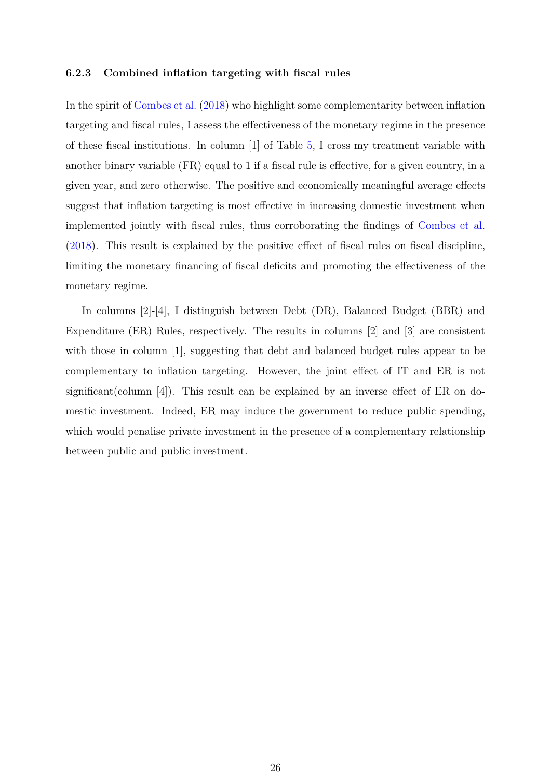#### <span id="page-25-0"></span>**6.2.3 Combined inflation targeting with fiscal rules**

In the spirit of [Combes et al.](#page-30-0) [\(2018\)](#page-30-0) who highlight some complementarity between inflation targeting and fiscal rules, I assess the effectiveness of the monetary regime in the presence of these fiscal institutions. In column [1] of Table [5,](#page-26-0) I cross my treatment variable with another binary variable (FR) equal to 1 if a fiscal rule is effective, for a given country, in a given year, and zero otherwise. The positive and economically meaningful average effects suggest that inflation targeting is most effective in increasing domestic investment when implemented jointly with fiscal rules, thus corroborating the findings of [Combes et al.](#page-30-0) [\(2018\)](#page-30-0). This result is explained by the positive effect of fiscal rules on fiscal discipline, limiting the monetary financing of fiscal deficits and promoting the effectiveness of the monetary regime.

In columns [2]-[4], I distinguish between Debt (DR), Balanced Budget (BBR) and Expenditure (ER) Rules, respectively. The results in columns [2] and [3] are consistent with those in column [1], suggesting that debt and balanced budget rules appear to be complementary to inflation targeting. However, the joint effect of IT and ER is not significant(column [4]). This result can be explained by an inverse effect of ER on domestic investment. Indeed, ER may induce the government to reduce public spending, which would penalise private investment in the presence of a complementary relationship between public and public investment.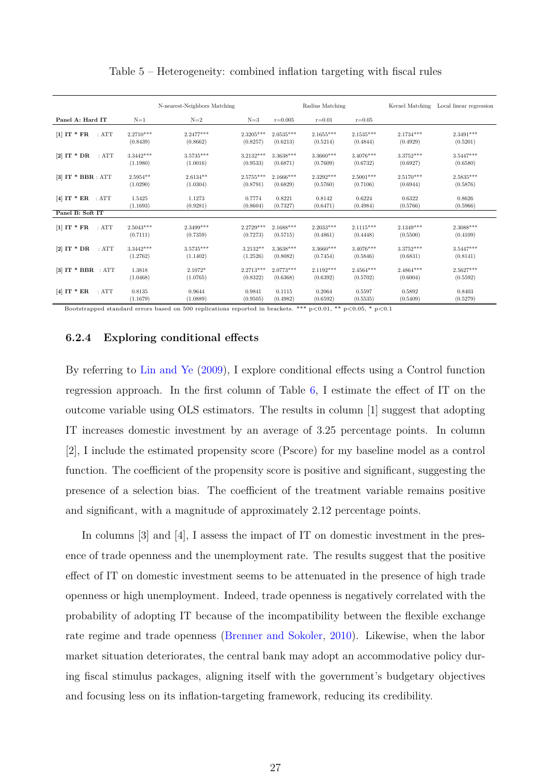#### Table 5 – Heterogeneity: combined inflation targeting with fiscal rules

<span id="page-26-0"></span>

|                      |             | N-nearest-Neighbors Matching |             |             | Radius Matching |             | Kernel Matching | Local linear regression |
|----------------------|-------------|------------------------------|-------------|-------------|-----------------|-------------|-----------------|-------------------------|
| Panel A: Hard IT     | $N=1$       | $N=2$                        | $N=3$       | $r = 0.005$ | $r = 0.01$      | $r = 0.05$  |                 |                         |
| :ATT                 | $2.2710***$ | $2.2477***$                  | $2.3205***$ | $2.0535***$ | $2.1655***$     | $2.1535***$ | $2.1734***$     | $2.3491***$             |
| $[1]$ IT * FR        | (0.8439)    | (0.8662)                     | (0.8257)    | (0.6213)    | (0.5214)        | (0.4844)    | (0.4929)        | (0.5201)                |
| [2] IT $*$ DR        | $3.3442***$ | $3.5735***$                  | $3.2132***$ | $3.3638***$ | 3.3660***       | $3.4076***$ | $3.3752***$     | $3.5447***$             |
| :ATT                 | (1.1980)    | (1.0016)                     | (0.9533)    | (0.6871)    | (0.7609)        | (0.6732)    | (0.6927)        | (0.6580)                |
| $[3]$ IT * BBR : ATT | $2.5954**$  | $2.6134**$                   | $2.5755***$ | $2.1666***$ | 2.3292***       | $2.5001***$ | $2.5170***$     | $2.5835***$             |
|                      | (1.0290)    | (1.0304)                     | (0.8791)    | (0.6829)    | (0.5760)        | (0.7106)    | (0.6944)        | (0.5876)                |
| [4] $IT * ER : ATT$  | 1.5425      | 1.1273                       | 0.7774      | 0.8221      | 0.8142          | 0.6224      | 0.6322          | 0.8626                  |
|                      | (1.1693)    | (0.9281)                     | (0.8604)    | (0.7327)    | (0.6471)        | (0.4984)    | (0.5766)        | (0.5966)                |
| Panel B: Soft IT     |             |                              |             |             |                 |             |                 |                         |
| $[1]$ IT * FR        | $2.5043***$ | $2.3499***$                  | $2.2729***$ | $2.1688***$ | $2.2033***$     | $2.1115***$ | $2.1349***$     | $2.3088***$             |
| :ATT                 | (0.7111)    | (0.7359)                     | (0.7273)    | (0.5715)    | (0.4861)        | (0.4448)    | (0.5500)        | (0.4109)                |
| [2] $IT * DR$        | $3.3442***$ | $3.5735***$                  | $3.2132**$  | $3.3638***$ | $3.3660***$     | $3.4076***$ | $3.3752***$     | $3.5447***$             |
| :ATT                 | (1.2762)    | (1.1402)                     | (1.2526)    | (0.8082)    | (0.7454)        | (0.5846)    | (0.6831)        | (0.8141)                |
| $[3]$ IT * BBR : ATT | 1.3818      | $2.1072*$                    | $2.2713***$ | $2.0773***$ | $2.1192***$     | $2.4564***$ | $2.4864***$     | $2.5627***$             |
|                      | (1.0468)    | (1.0765)                     | (0.8322)    | (0.6368)    | (0.6392)        | (0.5702)    | (0.6004)        | (0.5592)                |
| [4] IT $*$ ER        | 0.8135      | 0.9644                       | 0.9841      | 0.1115      | 0.2064          | 0.5597      | 0.5892          | 0.8403                  |
| :ATT                 | (1.1679)    | (1.0889)                     | (0.9505)    | (0.4982)    | (0.6592)        | (0.5535)    | (0.5409)        | (0.5279)                |

Bootstrapped standard errors based on 500 replications reported in brackets. \*\*\*  $p<0.01$ , \*\*  $p<0.05$ , \*  $p<0.1$ 

#### **6.2.4 Exploring conditional effects**

By referring to [Lin and Ye](#page-32-1) [\(2009\)](#page-32-1), I explore conditional effects using a Control function regression approach. In the first column of Table [6,](#page-28-0) I estimate the effect of IT on the outcome variable using OLS estimators. The results in column [1] suggest that adopting IT increases domestic investment by an average of 3.25 percentage points. In column [2], I include the estimated propensity score (Pscore) for my baseline model as a control function. The coefficient of the propensity score is positive and significant, suggesting the presence of a selection bias. The coefficient of the treatment variable remains positive and significant, with a magnitude of approximately 2.12 percentage points.

In columns [3] and [4], I assess the impact of IT on domestic investment in the presence of trade openness and the unemployment rate. The results suggest that the positive effect of IT on domestic investment seems to be attenuated in the presence of high trade openness or high unemployment. Indeed, trade openness is negatively correlated with the probability of adopting IT because of the incompatibility between the flexible exchange rate regime and trade openness [\(Brenner and Sokoler,](#page-30-9) [2010\)](#page-30-9). Likewise, when the labor market situation deteriorates, the central bank may adopt an accommodative policy during fiscal stimulus packages, aligning itself with the government's budgetary objectives and focusing less on its inflation-targeting framework, reducing its credibility.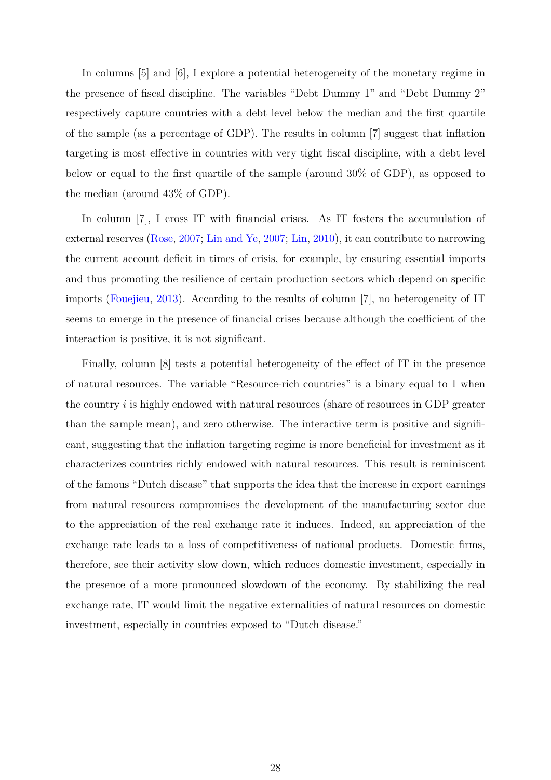In columns [5] and [6], I explore a potential heterogeneity of the monetary regime in the presence of fiscal discipline. The variables "Debt Dummy 1" and "Debt Dummy 2" respectively capture countries with a debt level below the median and the first quartile of the sample (as a percentage of GDP). The results in column [7] suggest that inflation targeting is most effective in countries with very tight fiscal discipline, with a debt level below or equal to the first quartile of the sample (around 30% of GDP), as opposed to the median (around 43% of GDP).

In column [7], I cross IT with financial crises. As IT fosters the accumulation of external reserves [\(Rose,](#page-33-10) [2007;](#page-33-10) [Lin and Ye,](#page-31-4) [2007;](#page-31-4) [Lin,](#page-31-1) [2010\)](#page-31-1), it can contribute to narrowing the current account deficit in times of crisis, for example, by ensuring essential imports and thus promoting the resilience of certain production sectors which depend on specific imports [\(Fouejieu,](#page-31-8) [2013\)](#page-31-8). According to the results of column [7], no heterogeneity of IT seems to emerge in the presence of financial crises because although the coefficient of the interaction is positive, it is not significant.

Finally, column [8] tests a potential heterogeneity of the effect of IT in the presence of natural resources. The variable "Resource-rich countries" is a binary equal to 1 when the country *i* is highly endowed with natural resources (share of resources in GDP greater than the sample mean), and zero otherwise. The interactive term is positive and significant, suggesting that the inflation targeting regime is more beneficial for investment as it characterizes countries richly endowed with natural resources. This result is reminiscent of the famous "Dutch disease" that supports the idea that the increase in export earnings from natural resources compromises the development of the manufacturing sector due to the appreciation of the real exchange rate it induces. Indeed, an appreciation of the exchange rate leads to a loss of competitiveness of national products. Domestic firms, therefore, see their activity slow down, which reduces domestic investment, especially in the presence of a more pronounced slowdown of the economy. By stabilizing the real exchange rate, IT would limit the negative externalities of natural resources on domestic investment, especially in countries exposed to "Dutch disease."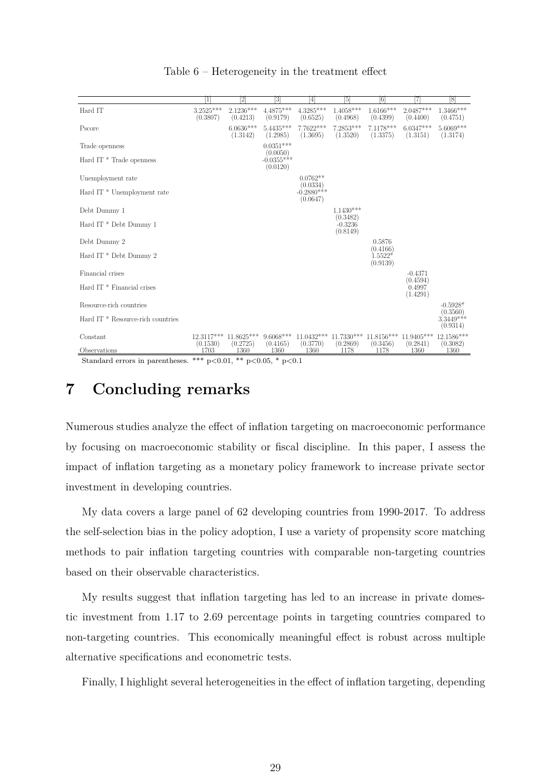<span id="page-28-0"></span>

|                                              | 1                       | 21                      | [3]                                  | 4                                                                                                  | 151                               | [6]                     | 71                      | 8                       |
|----------------------------------------------|-------------------------|-------------------------|--------------------------------------|----------------------------------------------------------------------------------------------------|-----------------------------------|-------------------------|-------------------------|-------------------------|
| Hard IT                                      | $3.2525***$<br>(0.3807) | $2.1236***$<br>(0.4213) | $4.4875***$<br>(0.9179)              | 4.3285***<br>(0.6525)                                                                              | $1.4058***$<br>(0.4968)           | $1.6166***$<br>(0.4399) | $2.0487***$<br>(0.4400) | $1.3466***$<br>(0.4751) |
| Pscore                                       |                         | $6.0636***$<br>(1.3142) | $5.4435***$<br>(1.2985)              | 7.7622***<br>(1.3695)                                                                              | 7.2853***<br>(1.3520)             | 7.1178***<br>(1.3375)   | $6.0347***$<br>(1.3151) | $5.6069***$<br>(1.3174) |
| Trade openness                               |                         |                         | $0.0351***$                          |                                                                                                    |                                   |                         |                         |                         |
| Hard IT <sup>*</sup> Trade openness          |                         |                         | $(0.0050)$<br>-0.0355***<br>(0.0120) |                                                                                                    |                                   |                         |                         |                         |
| Unemployment rate                            |                         |                         |                                      | $0.0762**$                                                                                         |                                   |                         |                         |                         |
| Hard IT <sup>*</sup> Unemployment rate       |                         |                         |                                      | (0.0334)<br>$-0.2880***$<br>(0.0647)                                                               |                                   |                         |                         |                         |
| Debt Dummy 1                                 |                         |                         |                                      |                                                                                                    | $1.1430***$                       |                         |                         |                         |
| Hard IT * Debt Dummy 1                       |                         |                         |                                      |                                                                                                    | (0.3482)<br>$-0.3236$<br>(0.8149) |                         |                         |                         |
| Debt Dummy 2                                 |                         |                         |                                      |                                                                                                    |                                   | 0.5876<br>(0.4166)      |                         |                         |
| Hard IT * Debt Dummy 2                       |                         |                         |                                      |                                                                                                    |                                   | $1.5522*$<br>(0.9139)   |                         |                         |
| Financial crises                             |                         |                         |                                      |                                                                                                    |                                   |                         | $-0.4371$<br>(0.4594)   |                         |
| Hard IT <sup>*</sup> Financial crises        |                         |                         |                                      |                                                                                                    |                                   |                         | 0.4997<br>(1.4291)      |                         |
| Resource-rich countries                      |                         |                         |                                      |                                                                                                    |                                   |                         |                         | $-0.5928*$<br>(0.3560)  |
| Hard IT <sup>*</sup> Resource-rich countries |                         |                         |                                      |                                                                                                    |                                   |                         |                         | $3.3449***$<br>(0.9314) |
| Constant                                     | (0.1530)                | (0.2725)                | (0.4165)                             | 12.3117*** 11.8625*** 9.6068*** 11.0432*** 11.7330*** 11.8156*** 11.9405*** 12.1586***<br>(0.3770) | (0.2869)                          | (0.3456)                | (0.2841)                | (0.3082)                |
| Observations                                 | 1703                    | 1360                    | 1360                                 | 1360                                                                                               | 1178                              | 1178                    | 1360                    | 1360                    |

#### Table 6 – Heterogeneity in the treatment effect

Standard errors in parentheses. \*\*\*  $p<0.01$ , \*\*  $p<0.05$ , \*  $p<0.1$ 

# **7 Concluding remarks**

Numerous studies analyze the effect of inflation targeting on macroeconomic performance by focusing on macroeconomic stability or fiscal discipline. In this paper, I assess the impact of inflation targeting as a monetary policy framework to increase private sector investment in developing countries.

My data covers a large panel of 62 developing countries from 1990-2017. To address the self-selection bias in the policy adoption, I use a variety of propensity score matching methods to pair inflation targeting countries with comparable non-targeting countries based on their observable characteristics.

My results suggest that inflation targeting has led to an increase in private domestic investment from 1.17 to 2.69 percentage points in targeting countries compared to non-targeting countries. This economically meaningful effect is robust across multiple alternative specifications and econometric tests.

Finally, I highlight several heterogeneities in the effect of inflation targeting, depending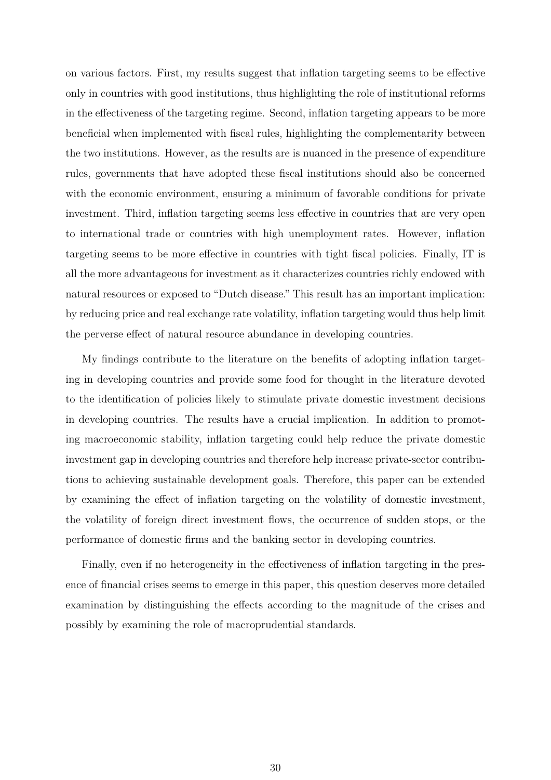on various factors. First, my results suggest that inflation targeting seems to be effective only in countries with good institutions, thus highlighting the role of institutional reforms in the effectiveness of the targeting regime. Second, inflation targeting appears to be more beneficial when implemented with fiscal rules, highlighting the complementarity between the two institutions. However, as the results are is nuanced in the presence of expenditure rules, governments that have adopted these fiscal institutions should also be concerned with the economic environment, ensuring a minimum of favorable conditions for private investment. Third, inflation targeting seems less effective in countries that are very open to international trade or countries with high unemployment rates. However, inflation targeting seems to be more effective in countries with tight fiscal policies. Finally, IT is all the more advantageous for investment as it characterizes countries richly endowed with natural resources or exposed to "Dutch disease." This result has an important implication: by reducing price and real exchange rate volatility, inflation targeting would thus help limit the perverse effect of natural resource abundance in developing countries.

My findings contribute to the literature on the benefits of adopting inflation targeting in developing countries and provide some food for thought in the literature devoted to the identification of policies likely to stimulate private domestic investment decisions in developing countries. The results have a crucial implication. In addition to promoting macroeconomic stability, inflation targeting could help reduce the private domestic investment gap in developing countries and therefore help increase private-sector contributions to achieving sustainable development goals. Therefore, this paper can be extended by examining the effect of inflation targeting on the volatility of domestic investment, the volatility of foreign direct investment flows, the occurrence of sudden stops, or the performance of domestic firms and the banking sector in developing countries.

Finally, even if no heterogeneity in the effectiveness of inflation targeting in the presence of financial crises seems to emerge in this paper, this question deserves more detailed examination by distinguishing the effects according to the magnitude of the crises and possibly by examining the role of macroprudential standards.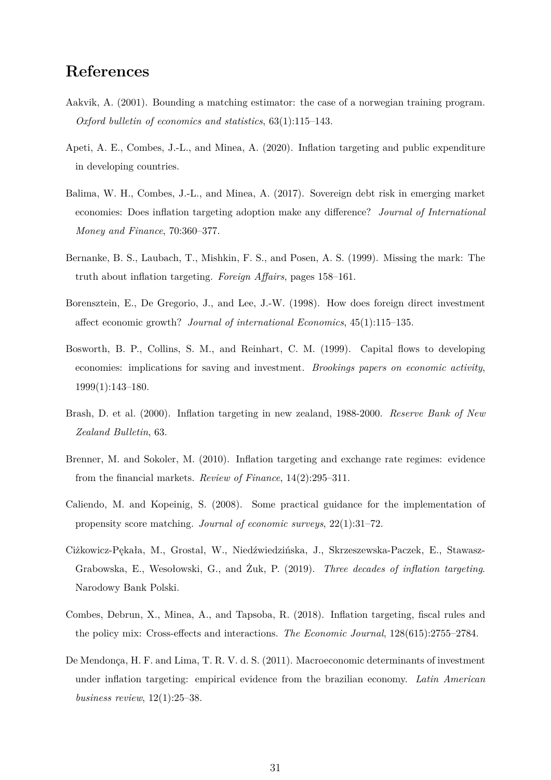# **References**

- <span id="page-30-11"></span>Aakvik, A. (2001). Bounding a matching estimator: the case of a norwegian training program. *Oxford bulletin of economics and statistics*, 63(1):115–143.
- <span id="page-30-3"></span>Apeti, A. E., Combes, J.-L., and Minea, A. (2020). Inflation targeting and public expenditure in developing countries.
- <span id="page-30-4"></span>Balima, W. H., Combes, J.-L., and Minea, A. (2017). Sovereign debt risk in emerging market economies: Does inflation targeting adoption make any difference? *Journal of International Money and Finance*, 70:360–377.
- <span id="page-30-1"></span>Bernanke, B. S., Laubach, T., Mishkin, F. S., and Posen, A. S. (1999). Missing the mark: The truth about inflation targeting. *Foreign Affairs*, pages 158–161.
- <span id="page-30-5"></span>Borensztein, E., De Gregorio, J., and Lee, J.-W. (1998). How does foreign direct investment affect economic growth? *Journal of international Economics*, 45(1):115–135.
- <span id="page-30-6"></span>Bosworth, B. P., Collins, S. M., and Reinhart, C. M. (1999). Capital flows to developing economies: implications for saving and investment. *Brookings papers on economic activity*, 1999(1):143–180.
- <span id="page-30-2"></span>Brash, D. et al. (2000). Inflation targeting in new zealand, 1988-2000. *Reserve Bank of New Zealand Bulletin*, 63.
- <span id="page-30-9"></span>Brenner, M. and Sokoler, M. (2010). Inflation targeting and exchange rate regimes: evidence from the financial markets. *Review of Finance*, 14(2):295–311.
- <span id="page-30-10"></span>Caliendo, M. and Kopeinig, S. (2008). Some practical guidance for the implementation of propensity score matching. *Journal of economic surveys*, 22(1):31–72.
- <span id="page-30-8"></span>Ciżkowicz-Pękała, M., Grostal, W., Niedźwiedzińska, J., Skrzeszewska-Paczek, E., Stawasz-Grabowska, E., Wesołowski, G., and Żuk, P. (2019). *Three decades of inflation targeting*. Narodowy Bank Polski.
- <span id="page-30-0"></span>Combes, Debrun, X., Minea, A., and Tapsoba, R. (2018). Inflation targeting, fiscal rules and the policy mix: Cross-effects and interactions. *The Economic Journal*, 128(615):2755–2784.
- <span id="page-30-7"></span>De Mendonça, H. F. and Lima, T. R. V. d. S. (2011). Macroeconomic determinants of investment under inflation targeting: empirical evidence from the brazilian economy. *Latin American business review*, 12(1):25–38.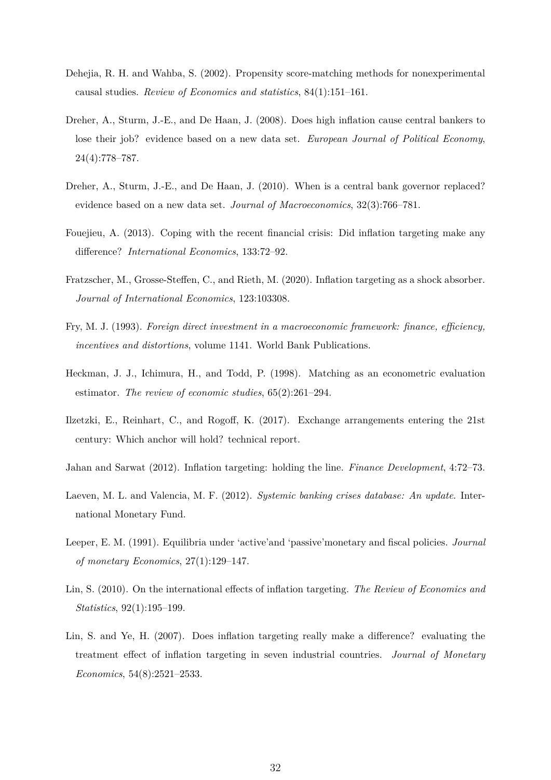- <span id="page-31-6"></span>Dehejia, R. H. and Wahba, S. (2002). Propensity score-matching methods for nonexperimental causal studies. *Review of Economics and statistics*, 84(1):151–161.
- <span id="page-31-10"></span>Dreher, A., Sturm, J.-E., and De Haan, J. (2008). Does high inflation cause central bankers to lose their job? evidence based on a new data set. *European Journal of Political Economy*, 24(4):778–787.
- <span id="page-31-11"></span>Dreher, A., Sturm, J.-E., and De Haan, J. (2010). When is a central bank governor replaced? evidence based on a new data set. *Journal of Macroeconomics*, 32(3):766–781.
- <span id="page-31-8"></span>Fouejieu, A. (2013). Coping with the recent financial crisis: Did inflation targeting make any difference? *International Economics*, 133:72–92.
- <span id="page-31-2"></span>Fratzscher, M., Grosse-Steffen, C., and Rieth, M. (2020). Inflation targeting as a shock absorber. *Journal of International Economics*, 123:103308.
- <span id="page-31-3"></span>Fry, M. J. (1993). *Foreign direct investment in a macroeconomic framework: finance, efficiency, incentives and distortions*, volume 1141. World Bank Publications.
- <span id="page-31-7"></span>Heckman, J. J., Ichimura, H., and Todd, P. (1998). Matching as an econometric evaluation estimator. *The review of economic studies*, 65(2):261–294.
- <span id="page-31-9"></span>Ilzetzki, E., Reinhart, C., and Rogoff, K. (2017). Exchange arrangements entering the 21st century: Which anchor will hold? technical report.
- <span id="page-31-5"></span>Jahan and Sarwat (2012). Inflation targeting: holding the line. *Finance Development*, 4:72–73.
- <span id="page-31-12"></span>Laeven, M. L. and Valencia, M. F. (2012). *Systemic banking crises database: An update*. International Monetary Fund.
- <span id="page-31-0"></span>Leeper, E. M. (1991). Equilibria under 'active'and 'passive'monetary and fiscal policies. *Journal of monetary Economics*, 27(1):129–147.
- <span id="page-31-1"></span>Lin, S. (2010). On the international effects of inflation targeting. *The Review of Economics and Statistics*, 92(1):195–199.
- <span id="page-31-4"></span>Lin, S. and Ye, H. (2007). Does inflation targeting really make a difference? evaluating the treatment effect of inflation targeting in seven industrial countries. *Journal of Monetary Economics*, 54(8):2521–2533.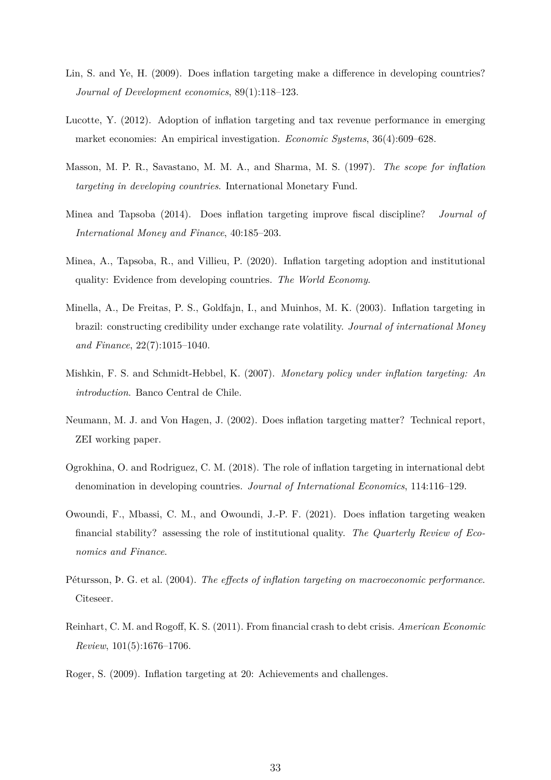- <span id="page-32-1"></span>Lin, S. and Ye, H. (2009). Does inflation targeting make a difference in developing countries? *Journal of Development economics*, 89(1):118–123.
- <span id="page-32-3"></span>Lucotte, Y. (2012). Adoption of inflation targeting and tax revenue performance in emerging market economies: An empirical investigation. *Economic Systems*, 36(4):609–628.
- <span id="page-32-9"></span>Masson, M. P. R., Savastano, M. M. A., and Sharma, M. S. (1997). *The scope for inflation targeting in developing countries*. International Monetary Fund.
- <span id="page-32-4"></span>Minea and Tapsoba (2014). Does inflation targeting improve fiscal discipline? *Journal of International Money and Finance*, 40:185–203.
- <span id="page-32-5"></span>Minea, A., Tapsoba, R., and Villieu, P. (2020). Inflation targeting adoption and institutional quality: Evidence from developing countries. *The World Economy*.
- <span id="page-32-10"></span>Minella, A., De Freitas, P. S., Goldfajn, I., and Muinhos, M. K. (2003). Inflation targeting in brazil: constructing credibility under exchange rate volatility. *Journal of international Money and Finance*, 22(7):1015–1040.
- <span id="page-32-7"></span>Mishkin, F. S. and Schmidt-Hebbel, K. (2007). *Monetary policy under inflation targeting: An introduction*. Banco Central de Chile.
- <span id="page-32-0"></span>Neumann, M. J. and Von Hagen, J. (2002). Does inflation targeting matter? Technical report, ZEI working paper.
- <span id="page-32-11"></span>Ogrokhina, O. and Rodriguez, C. M. (2018). The role of inflation targeting in international debt denomination in developing countries. *Journal of International Economics*, 114:116–129.
- <span id="page-32-8"></span>Owoundi, F., Mbassi, C. M., and Owoundi, J.-P. F. (2021). Does inflation targeting weaken financial stability? assessing the role of institutional quality. *The Quarterly Review of Economics and Finance*.
- <span id="page-32-2"></span>Pétursson, Þ. G. et al. (2004). *The effects of inflation targeting on macroeconomic performance*. Citeseer.
- <span id="page-32-6"></span>Reinhart, C. M. and Rogoff, K. S. (2011). From financial crash to debt crisis. *American Economic Review*, 101(5):1676–1706.
- <span id="page-32-12"></span>Roger, S. (2009). Inflation targeting at 20: Achievements and challenges.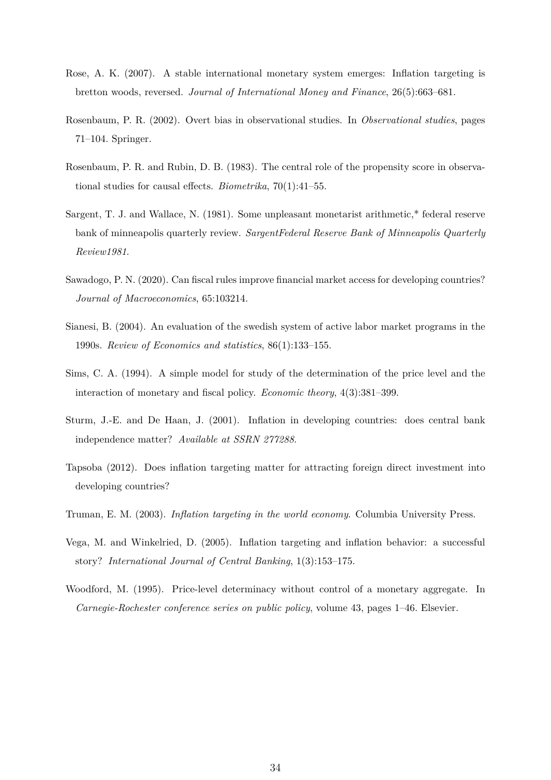- <span id="page-33-10"></span>Rose, A. K. (2007). A stable international monetary system emerges: Inflation targeting is bretton woods, reversed. *Journal of International Money and Finance*, 26(5):663–681.
- <span id="page-33-9"></span>Rosenbaum, P. R. (2002). Overt bias in observational studies. In *Observational studies*, pages 71–104. Springer.
- <span id="page-33-5"></span>Rosenbaum, P. R. and Rubin, D. B. (1983). The central role of the propensity score in observational studies for causal effects. *Biometrika*, 70(1):41–55.
- <span id="page-33-0"></span>Sargent, T. J. and Wallace, N. (1981). Some unpleasant monetarist arithmetic,\* federal reserve bank of minneapolis quarterly review. *SargentFederal Reserve Bank of Minneapolis Quarterly Review1981*.
- <span id="page-33-7"></span>Sawadogo, P. N. (2020). Can fiscal rules improve financial market access for developing countries? *Journal of Macroeconomics*, 65:103214.
- <span id="page-33-8"></span>Sianesi, B. (2004). An evaluation of the swedish system of active labor market programs in the 1990s. *Review of Economics and statistics*, 86(1):133–155.
- <span id="page-33-1"></span>Sims, C. A. (1994). A simple model for study of the determination of the price level and the interaction of monetary and fiscal policy. *Economic theory*, 4(3):381–399.
- <span id="page-33-11"></span>Sturm, J.-E. and De Haan, J. (2001). Inflation in developing countries: does central bank independence matter? *Available at SSRN 277288*.
- <span id="page-33-4"></span>Tapsoba (2012). Does inflation targeting matter for attracting foreign direct investment into developing countries?
- <span id="page-33-6"></span>Truman, E. M. (2003). *Inflation targeting in the world economy*. Columbia University Press.
- <span id="page-33-3"></span>Vega, M. and Winkelried, D. (2005). Inflation targeting and inflation behavior: a successful story? *International Journal of Central Banking*, 1(3):153–175.
- <span id="page-33-2"></span>Woodford, M. (1995). Price-level determinacy without control of a monetary aggregate. In *Carnegie-Rochester conference series on public policy*, volume 43, pages 1–46. Elsevier.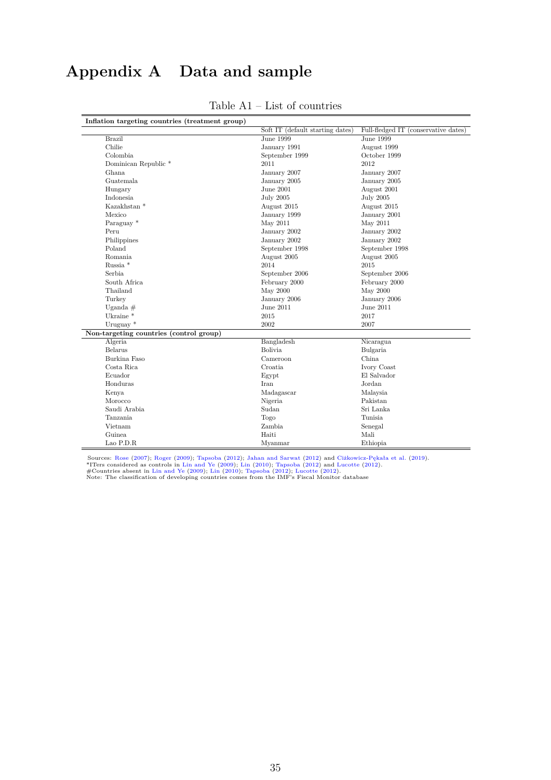# <span id="page-34-0"></span>**Appendix A Data and sample**

| Inflation targeting countries (treatment group) |                                  |                                      |
|-------------------------------------------------|----------------------------------|--------------------------------------|
|                                                 | Soft IT (default starting dates) | Full-fledged IT (conservative dates) |
| <b>Brazil</b>                                   | June 1999                        | <b>June 1999</b>                     |
| Chilie                                          | January 1991                     | August 1999                          |
| Colombia                                        | September 1999                   | October 1999                         |
| Dominican Republic <sup>*</sup>                 | 2011                             | 2012                                 |
| Ghana                                           | January 2007                     | January 2007                         |
| Guatemala                                       | January 2005                     | January 2005                         |
| Hungary                                         | June 2001                        | August 2001                          |
| Indonesia                                       | <b>July 2005</b>                 | <b>July 2005</b>                     |
| Kazakhstan <sup>*</sup>                         | August 2015                      | August 2015                          |
| Mexico                                          | January 1999                     | January 2001                         |
| Paraguay *                                      | May 2011                         | May 2011                             |
| Peru                                            | January 2002                     | January 2002                         |
| Philippines                                     | January 2002                     | January 2002                         |
| Poland                                          | September 1998                   | September 1998                       |
| Romania                                         | August 2005                      | August 2005                          |
| Russia <sup>*</sup>                             | 2014                             | 2015                                 |
| Serbia                                          | September 2006                   | September 2006                       |
| South Africa                                    | February 2000                    | February 2000                        |
| Thailand                                        | May 2000                         | May 2000                             |
| Turkey                                          | January 2006                     | January 2006                         |
| Uganda $#$                                      | June 2011                        | June 2011                            |
| Ukraine <sup>*</sup>                            | 2015                             | 2017                                 |
| Uruguay $*$                                     | 2002                             | 2007                                 |
| Non-targeting countries (control group)         |                                  |                                      |
| Algeria                                         | Bangladesh                       | Nicaragua                            |
| Belarus                                         | <b>Bolivia</b>                   | Bulgaria                             |
| Burkina Faso                                    | Cameroon                         | China                                |
| Costa Rica                                      | Croatia                          | Ivory Coast                          |
| Ecuador                                         | Egypt                            | El Salvador                          |
| Honduras                                        | Iran                             | Jordan                               |
| Kenya                                           | Madagascar                       | Malaysia                             |
| Morocco                                         | Nigeria                          | Pakistan                             |
| Saudi Arabia                                    | Sudan                            | Sri Lanka                            |
| Tanzania                                        | Togo                             | Tunisia                              |
| Vietnam                                         | Zambia                           | Senegal                              |
| Guinea                                          | Haiti                            | Mali                                 |
| Lao P.D.R                                       | Myanmar                          | Ethiopia                             |

#### Table A1 – List of countries

Sources: [Rose](#page-33-10) [\(2007\)](#page-33-10); [Roger](#page-32-12) [\(2009\)](#page-32-1); [Tapsoba](#page-33-4) [\(2012\)](#page-32-3); [Jahan and Sarwat](#page-31-5) (2012) and [Ciżkowicz-Pękała et al.](#page-30-8) [\(2019\)](#page-30-8).<br>\*ITers considered as controls in [Lin and Ye](#page-32-1) (2009); [Lin](#page-31-1) [\(2010\)](#page-31-1); Tapsoba (2012) and [Lucotte](#page-32-3) (2012).<br>#Countries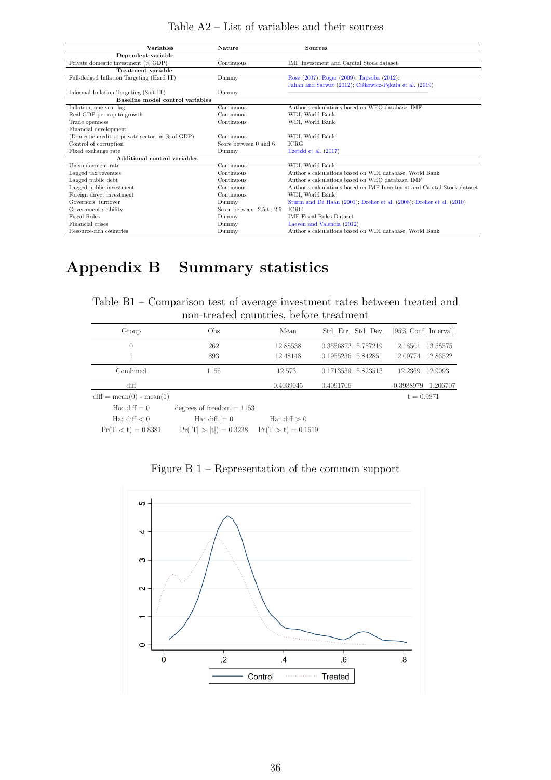| Table $A2$ – List of variables and their sources |
|--------------------------------------------------|
|--------------------------------------------------|

<span id="page-35-1"></span>

| <b>Variables</b>                                 | <b>Nature</b>             | <b>Sources</b>                                                          |
|--------------------------------------------------|---------------------------|-------------------------------------------------------------------------|
| Dependent variable                               |                           |                                                                         |
| Private domestic investment (% GDP)              | Continuous                | IMF Investment and Capital Stock dataset                                |
| Treatment variable                               |                           |                                                                         |
| Full-fledged Inflation Targeting (Hard IT)       | Dummy                     | Rose (2007); Roger (2009); Tapsoba (2012);                              |
|                                                  |                           | Jahan and Sarwat (2012); Ciżkowicz-Pękała et al. (2019)                 |
| Informal Inflation Targeting (Soft IT)           | Dummy                     |                                                                         |
| Baseline model control variables                 |                           |                                                                         |
| Inflation, one-year lag                          | Continuous                | Author's calculations based on WEO database, IMF                        |
| Real GDP per capita growth                       | Continuous                | WDI, World Bank                                                         |
| Trade openness                                   | Continuous                | WDI, World Bank                                                         |
| Financial development                            |                           |                                                                         |
| (Domestic credit to private sector, in % of GDP) | Continuous                | WDI, World Bank                                                         |
| Control of corruption                            | Score between 0 and 6     | <b>ICRG</b>                                                             |
| Fixed exchange rate                              | Dummy                     | Ilzetzki et al. $(2017)$                                                |
| Additional control variables                     |                           |                                                                         |
| Unemployment rate                                | Continuous                | WDI. World Bank                                                         |
| Lagged tax revenues                              | Continuous                | Author's calculations based on WDI database, World Bank                 |
| Lagged public debt                               | Continuous                | Author's calculations based on WEO database, IMF                        |
| Lagged public investment                         | Continuous                | Author's calculations based on IMF Investment and Capital Stock dataset |
| Foreign direct investment                        | Continuous                | WDI, World Bank                                                         |
| Governors' turnover                              | Dummy                     | Sturm and De Haan (2001); Dreher et al. (2008); Dreher et al. (2010)    |
| Government stability                             | Score between -2.5 to 2.5 | <b>ICRG</b>                                                             |
| Fiscal Rules                                     | Dummy                     | <b>IMF Fiscal Rules Dataset</b>                                         |
| Financial crises                                 | Dummy                     | Laeven and Valencia (2012)                                              |
| Resource-rich countries                          | Dummy                     | Author's calculations based on WDI database, World Bank                 |

# <span id="page-35-3"></span><span id="page-35-0"></span>**Appendix B Summary statistics**

| Table B1 – Comparison test of average investment rates between treated and |  |
|----------------------------------------------------------------------------|--|
| non-treated countries, before treatment                                    |  |

|                                                     | non-treated countries, before treatment |                      |                                          |                                              |
|-----------------------------------------------------|-----------------------------------------|----------------------|------------------------------------------|----------------------------------------------|
| Group                                               | Obs                                     | Mean                 | Std. Err. Std. Dev.                      | [95\% Conf. Interval]                        |
| U                                                   | 262<br>893                              | 12.88538<br>12.48148 | 0.3556822 5.757219<br>0.1955236 5.842851 | 12.18501<br>13.58575<br>12.86522<br>12.09774 |
| Combined                                            | 1155                                    | 12.5731              | 0.1713539 5.823513                       | 12.2369<br>12.9093                           |
| diff                                                |                                         | 0.4039045            | 0.4091706                                | -0.3988979<br>1.206707                       |
| $diff = mean(0)$ - mean(1)<br>Ho: $\text{diff} = 0$ | degrees of freedom $= 1153$             |                      |                                          | $t = 0.9871$                                 |

Ho: diff = 0 degrees of freedom = 1153<br>Ha: diff  $\leq 0$  Ha: diff  $\leq 0$  Ha: diff  $> 0$  $\begin{array}{llll} \mbox{Ha: diff} < 0 & \mbox{Ha: diff} := 0 & \mbox{Ha: diff} > 0 \\ \mbox{Pr}(T < t) = 0.8381 & \mbox{Pr}(|T| > |t|) = 0.3238 & \mbox{Pr}(T > t) = 0.1619 \end{array}$ 

<span id="page-35-2"></span>

Figure B 1 – Representation of the common support

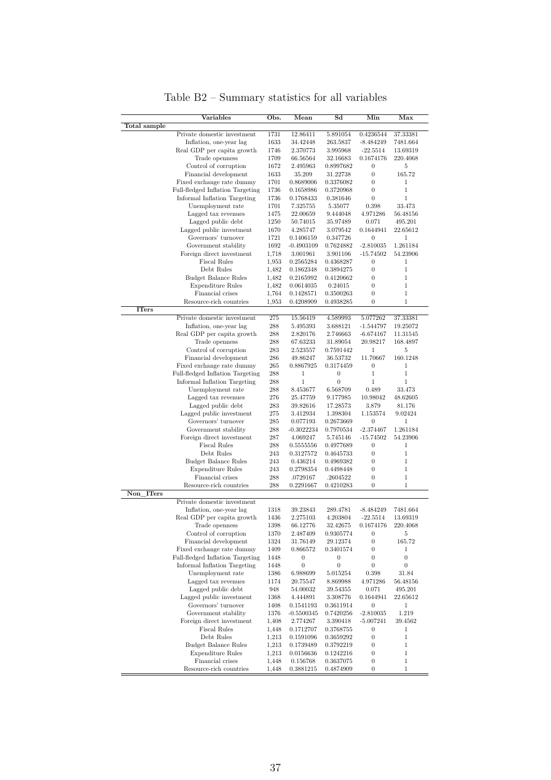<span id="page-36-0"></span>

|                                         | Variables                                       | Obs.         | Mean                      | $_{\rm Sd}$           | Min                                  | Max                  |
|-----------------------------------------|-------------------------------------------------|--------------|---------------------------|-----------------------|--------------------------------------|----------------------|
| Total sample                            |                                                 |              |                           |                       |                                      |                      |
|                                         | Private domestic investment                     | 1731         | 12.86411                  | 5.891054              | 0.4236544                            | 37.33381             |
|                                         | Inflation, one-year lag                         | 1633         | 34.42448                  | 263.5837              | -8.484249                            | 7481.664             |
|                                         | Real GDP per capita growth<br>Trade openness    | 1746<br>1709 | 2.370773<br>66.56564      | 3.995968<br>32.16683  | $-22.5514$<br>0.1674176              | 13.69319<br>220.4068 |
|                                         | Control of corruption                           | 1672         | 2.495963                  | 0.8997682             | $\boldsymbol{0}$                     | 5                    |
|                                         | Financial development                           | 1633         | 35.209                    | 31.22738              | $\boldsymbol{0}$                     | 165.72               |
|                                         | Fixed exchange rate dummy                       | 1701         | 0.8689006                 | 0.3376082             | $\boldsymbol{0}$                     | 1                    |
|                                         | Full-fledged Inflation Targeting                | 1736         | 0.1658986                 | 0.3720968             | $\overline{0}$                       | 1                    |
|                                         | Informal Inflation Targeting                    | 1736         | 0.1768433                 | 0.381646              | $\boldsymbol{0}$                     | 1                    |
|                                         | Unemployment rate                               | 1701         | 7.325755                  | 5.35077               | 0.398                                | 33.473               |
|                                         | Lagged tax revenues                             | 1475         | 22.00659                  | 9.444048              | 4.971286                             | 56.48156             |
|                                         | Lagged public debt                              | 1250         | 50.74015                  | 35.97489              | 0.071                                | 495.201              |
|                                         | Lagged public investment<br>Governors' turnover | 1670         | 4.285747                  | 3.079542              | 0.1644941                            | 22.65612             |
|                                         | Government stability                            | 1721<br>1692 | 0.1406159<br>$-0.4903109$ | 0.347726<br>0.7624882 | $\boldsymbol{0}$<br>$-2.810035$      | 1<br>1.261184        |
|                                         | Foreign direct investment                       | 1,718        | 3.001961                  | 3.901106              | $-15.74502$                          | 54.23906             |
|                                         | <b>Fiscal Rules</b>                             | 1,953        | 0.2565284                 | 0.4368287             | $\boldsymbol{0}$                     | 1                    |
|                                         | Debt Rules                                      | 1,482        | 0.1862348                 | 0.3894275             | $\boldsymbol{0}$                     | 1                    |
|                                         | <b>Budget Balance Rules</b>                     | 1,482        | 0.2165992                 | 0.4120662             | $\boldsymbol{0}$                     | 1                    |
|                                         | <b>Expenditure Rules</b>                        | 1,482        | 0.0614035                 | 0.24015               | $\boldsymbol{0}$                     | 1                    |
|                                         | Financial crises                                | 1,764        | 0.1428571                 | 0.3500263             | $\boldsymbol{0}$                     | $\mathbf 1$          |
|                                         | Resource-rich countries                         | 1,953        | 0.4208909                 | 0.4938285             | $\boldsymbol{0}$                     | 1                    |
| <b>ITers</b>                            |                                                 |              |                           |                       |                                      |                      |
|                                         | Private domestic investment                     | 275          | 15.56419                  | 4.589993              | 5.077262                             | 37.33381             |
|                                         | Inflation, one-year lag                         | 288          | 5.495393<br>2.820176      | 3.688121              | $-1.544797$                          | 19.25072             |
|                                         | Real GDP per capita growth<br>Trade openness    | 288<br>288   | 67.63233                  | 2.746663<br>31.89054  | $-6.674167$<br>20.98217              | 11.31545<br>168.4897 |
|                                         | Control of corruption                           | 283          | 2.523557                  | 0.7591442             | $\mathbf{1}$                         | 5                    |
|                                         | Financial development                           | 286          | 49.86247                  | 36.53732              | 11.70667                             | 160.1248             |
|                                         | Fixed exchange rate dummy                       | 265          | 0.8867925                 | 0.3174459             | $\boldsymbol{0}$                     | 1                    |
|                                         | Full-fledged Inflation Targeting                | 288          | $\mathbf{1}$              | $\boldsymbol{0}$      | $\mathbf{1}$                         | 1                    |
|                                         | Informal Inflation Targeting                    | 288          | 1                         | $\overline{0}$        | $\mathbf 1$                          | 1                    |
|                                         | Unemployment rate                               | 288          | 8.453677                  | 6.568709              | 0.489                                | 33.473               |
|                                         | Lagged tax revenues                             | 276          | 25.47759                  | 9.177985              | 10.98042                             | 48.62605             |
|                                         | Lagged public debt                              | 283          | 39.82616                  | 17.28573              | 3.879                                | 81.176               |
|                                         | Lagged public investment<br>Governors' turnover | 275<br>285   | 3.412934<br>0.077193      | 1.398304<br>0.2673669 | 1.153574<br>$\boldsymbol{0}$         | 9.02424<br>1         |
|                                         | Government stability                            | 288          | $-0.3022234$              | 0.7970534             | $-2.374467$                          | 1.261184             |
|                                         | Foreign direct investment                       | 287          | 4.069247                  | 5.745146              | $-15.74502$                          | 54.23906             |
|                                         | <b>Fiscal Rules</b>                             | 288          | 0.5555556                 | 0.4977689             | $\boldsymbol{0}$                     | 1                    |
|                                         | Debt Rules                                      | 243          | 0.3127572                 | 0.4645733             | $\boldsymbol{0}$                     | 1                    |
|                                         | <b>Budget Balance Rules</b>                     | 243          | 0.436214                  | 0.4969382             | $\boldsymbol{0}$                     | 1                    |
|                                         | <b>Expenditure Rules</b>                        | 243          | 0.2798354                 | 0.4498448             | $\boldsymbol{0}$                     | 1                    |
|                                         | Financial crises                                | 288          | .0729167                  | .2604522              | $\boldsymbol{0}$                     | 1                    |
|                                         | Resource-rich countries                         | 288          | 0.2291667                 | 0.4210283             | $\theta$                             | $\mathbf 1$          |
| <b>ITers</b><br>$\overline{\text{Non}}$ | Private domestic investment                     |              |                           |                       |                                      |                      |
|                                         | Inflation, one-year lag                         | 1318         | 39.23843                  | 289.4781              | $-8.484249$                          | 7481.664             |
|                                         | Real GDP per capita growth                      | 1436         | 2.275103                  | 4.203804              | $-22.5514$                           | 13.69319             |
|                                         | Trade openness                                  | 1398         | 66.12776                  | 32.42675              | 0.1674176                            | 220.4068             |
|                                         | Control of corruption                           | 1370         | 2.487409                  | 0.9305774             | $\boldsymbol{0}$                     | 5                    |
|                                         | Financial development                           | 1324         | 31.76149                  | 29.12374              | $\boldsymbol{0}$                     | 165.72               |
|                                         | Fixed exchange rate dummy                       | 1409         | 0.866572                  | 0.3401574             | $\boldsymbol{0}$                     | 1                    |
|                                         | Full-fledged Inflation Targeting                | 1448         | $\boldsymbol{0}$          | $\boldsymbol{0}$      | $\boldsymbol{0}$                     | $\boldsymbol{0}$     |
|                                         | Informal Inflation Targeting                    | 1448         | $\boldsymbol{0}$          | $\boldsymbol{0}$      | $\boldsymbol{0}$                     | 0                    |
|                                         | Unemployment rate                               | 1386         | 6.988699                  | 5.015254              | 0.398                                | 31.84                |
|                                         | Lagged tax revenues<br>Lagged public debt       | 1174<br>948  | 20.75547<br>54.00032      | 8.869988<br>39.54355  | 4.971286<br>0.071                    | 56.48156<br>495.201  |
|                                         | Lagged public investment                        | 1368         | 4.444891                  | 3.308776              | 0.1644941                            | 22.65612             |
|                                         | Governors' turnover                             | 1408         | 0.1541193                 | 0.3611914             | $\boldsymbol{0}$                     | 1                    |
|                                         | Government stability                            | 1376         | $-0.5500345$              | 0.7420256             | $-2.810035$                          | 1.219                |
|                                         | Foreign direct investment                       | 1,408        | 2.774267                  | 3.390418              | $-5.007241$                          | 39.4562              |
|                                         | <b>Fiscal Rules</b>                             | 1,448        | 0.1712707                 | 0.3768755             | $\boldsymbol{0}$                     | 1                    |
|                                         | Debt Rules                                      | 1,213        | 0.1591096                 | 0.3659292             | $\boldsymbol{0}$                     | 1                    |
|                                         | Budget Balance Rules                            | 1,213        | 0.1739489                 | 0.3792219             | $\boldsymbol{0}$                     | 1                    |
|                                         | <b>Expenditure Rules</b>                        | 1,213        | 0.0156636                 | 0.1242216             | $\boldsymbol{0}$                     | 1                    |
|                                         | Financial crises<br>Resource-rich countries     | 1,448        | 0.156768                  | 0.3637075             | $\boldsymbol{0}$<br>$\boldsymbol{0}$ | 1<br>1               |
|                                         |                                                 | 1,448        | 0.3881215                 | 0.4874909             |                                      |                      |

Table B2 – Summary statistics for all variables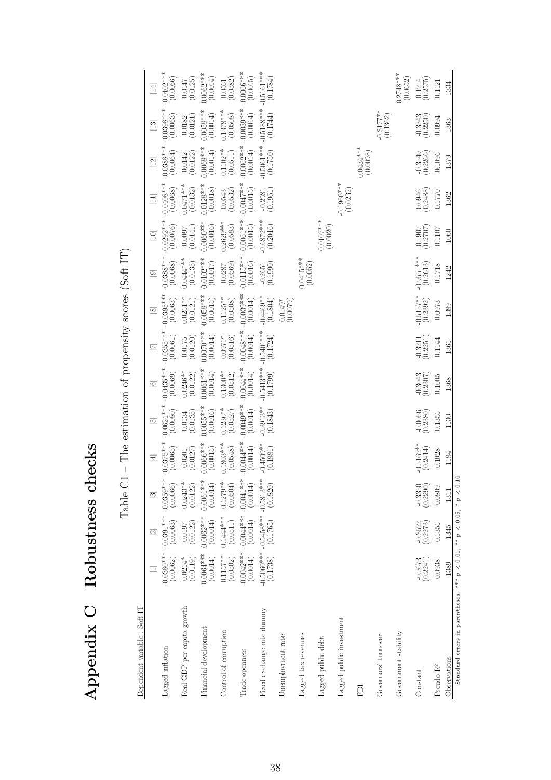<span id="page-37-0"></span>

|                                                                               |                          |                                    | TANIE AT                 |                                                              |                          |                          |                          |                           | TTT arged connectional in the momentum of the contract of the contract of the contract of the contract of the contract of the contract of the contract of the contract of the contract of the contract of the contract of the |                           |                                          |                                                   |                                                               |                                                   |
|-------------------------------------------------------------------------------|--------------------------|------------------------------------|--------------------------|--------------------------------------------------------------|--------------------------|--------------------------|--------------------------|---------------------------|-------------------------------------------------------------------------------------------------------------------------------------------------------------------------------------------------------------------------------|---------------------------|------------------------------------------|---------------------------------------------------|---------------------------------------------------------------|---------------------------------------------------|
| Dependent variable : Soft IT                                                  |                          |                                    |                          |                                                              |                          |                          |                          |                           |                                                                                                                                                                                                                               |                           |                                          |                                                   |                                                               |                                                   |
|                                                                               |                          | $\overline{\mathbb{Z}}$            | $\boxed{3}$              | $\overline{E}$                                               | $\boxed{5}$              | $\boxed{6}$              | $\Xi$                    | $\boxed{\infty}$          | $\boxed{9}$                                                                                                                                                                                                                   | $\boxed{10}$              | $\Xi$                                    | $[12]$                                            | $[13]$                                                        | $[14]$                                            |
| Lagged inflation                                                              | (0.0062)                 | ****080000- ****10800-<br>(0.0063) | (0.0066)                 | $-0.0375***$<br>(0.0065)                                     | $-0.0624***$<br>(0.0080) | $-0.0435***$<br>(0.0069) | $-0.0355***$<br>(0.0061) | $-0.0395***$<br>(0.0063)  | $-0.0388***$<br>(0.0068)                                                                                                                                                                                                      | $-0.0292***$<br>(0.0076)  | $-0.0408***$<br>(0.0068)                 | $-0.0388***$<br>(0.0064)                          | $-0.0398***$<br>(0.0063)                                      | $-0.0402***$<br>(0.0066)                          |
| Real GDP per capita growth                                                    | (0.0119)<br>$0.0214*$    | $\binom{0.0197}{0.0122}$           | $0.0243**$<br>(0.0122)   | $\left( \begin{matrix} 0.0201\\ 0.0127 \end{matrix} \right)$ | (0.0134)                 | $0.0246***$<br>(0.0122)  | (0.0120)<br>0.0175       | $0.0251**$<br>(0.0121)    | $0.0444***$<br>(0.0135)                                                                                                                                                                                                       | (0.0141)<br>0.0097        | $0.0471***$<br>(0.0132)                  | $\begin{array}{c} 0.0142 \\ (0.0122) \end{array}$ | $\left( \begin{matrix} 0.0182 \\ 0.0121 \end{matrix} \right)$ | (0.0125)<br>0.0147                                |
| Financial development                                                         | $0.0064***$<br>(0.0014)  | $0.0062***$<br>(0.0014)            | $0.0061***$<br>(0.0014)  | $0.0066***$<br>(0.0015)                                      | $0.0055***$<br>(0.0016)  | $0.0061***$<br>(0.0014)  | $0.0070***$<br>(0.0014)  | $0.0058***$<br>(0.0015)   | $0.0102***$<br>(0.0017)                                                                                                                                                                                                       | $0.0060***$<br>(0.0016)   | $0.0128***$<br>(0.0018)                  | $0.0068***$<br>(0.0014)                           | $0.0058***$<br>(0.0014)                                       | $0.0062***$<br>(0.0014)                           |
| Control of corruption                                                         | $0.1157***$<br>(0.0502)  | $0.1444***$<br>(0.0511)            | $0.1279**$<br>(0.0504)   | $0.1803***$<br>(0.0548)                                      | $0.1236**$<br>(0.0527)   | $0.1300**$<br>(0.0512)   | (0.0516)<br>$0.0971*$    | $0.1125**$<br>(0.0508)    | $(0.0287$<br>$(0.0569)$                                                                                                                                                                                                       | $0.2629***$<br>(0.0583)   | $\left(0.0543\right)\left(0.0532\right)$ | $(0.1102**$                                       | $0.1378***$<br>(0.0508)                                       | $\begin{array}{c} 0.0561 \\ (0.0582) \end{array}$ |
| Trade openness                                                                | $-0.0042***$<br>(0.0014) | $-0.0044***$<br>(0.0014)           | $-0.0041***$<br>(0.0014) | $-0.0044***$<br>(0.0014)                                     | $0.0049***$<br>(0.0014)  | $-0.0044***$<br>(0.0014) | $-0.0048***$<br>(0.0014) | $-0.0039***$<br>(0.0014)  | $-0.0115***$<br>(0.0016)                                                                                                                                                                                                      | $-0.0061***$<br>(0.0015)  | $-0.0047***$<br>(0.0015)                 | $-0.0062***$<br>(0.0014)                          | $-0.0039***$<br>(0.0014)                                      | $-0.0066***$<br>(0.0015)                          |
| Fixed exchange rate dummy                                                     | $-0.5060***$<br>(0.1738) | $-0.5458***$                       | $-0.5813***$<br>(0.1820) | $-0.4509**$<br>(0.1881)                                      | $0.3913**$<br>(0.1843)   | $-0.5413***$<br>(0.1799) | $-0.5401***$<br>(0.1724) | $0.4469**$<br>(0.1804)    | (0.1990)<br>$-0.2651$                                                                                                                                                                                                         | $-0.6872***$<br>(0.2016)  | (0.1961)<br>$-0.2981$                    | $-0.5061***$<br>(0.1750)                          | $-0.5188***$<br>(0.1744)                                      | $-0.5161***$<br>(0.1784)                          |
| Unemployment rate                                                             |                          |                                    |                          |                                                              |                          |                          |                          | $0.0149*$<br>(0.0079)     |                                                                                                                                                                                                                               |                           |                                          |                                                   |                                                               |                                                   |
| Lagged tax revenues                                                           |                          |                                    |                          |                                                              |                          |                          |                          |                           | $0.0415***$<br>(0.0052)                                                                                                                                                                                                       |                           |                                          |                                                   |                                                               |                                                   |
| Lagged public debt                                                            |                          |                                    |                          |                                                              |                          |                          |                          |                           |                                                                                                                                                                                                                               | $-0.0107$ ***<br>(0.0020) |                                          |                                                   |                                                               |                                                   |
| Lagged public investment                                                      |                          |                                    |                          |                                                              |                          |                          |                          |                           |                                                                                                                                                                                                                               |                           | $-0.1966***$                             |                                                   |                                                               |                                                   |
| EDI                                                                           |                          |                                    |                          |                                                              |                          |                          |                          |                           |                                                                                                                                                                                                                               |                           |                                          | $0.0434***$<br>(0.0098)                           |                                                               |                                                   |
| Governors' turnover                                                           |                          |                                    |                          |                                                              |                          |                          |                          |                           |                                                                                                                                                                                                                               |                           |                                          |                                                   | $-0.3177**$<br>(0.1362)                                       |                                                   |
| Government stability                                                          |                          |                                    |                          |                                                              |                          |                          |                          |                           |                                                                                                                                                                                                                               |                           |                                          |                                                   |                                                               | $0.2748***$<br>(0.0652)                           |
| Constant                                                                      | $-0.3673$<br>$(0.2241)$  | $-0.3522$<br>$(0.2273)$            | $-0.3350$<br>$(0.2290)$  | $-0.5162**$<br>(0.2414)                                      | $-0.0056$<br>$(0.2380)$  | $-0.3043$<br>$(0.2307)$  | $-0.3211$<br>$(0.2251)$  | $-0.5157**$<br>$(0.2392)$ | $-0.9551***$<br>(0.2613)                                                                                                                                                                                                      | $\frac{0.1907}{(0.2707)}$ | $(0.0946$<br>$(0.2488)$                  | $-0.3549$<br>$(0.2266)$                           | $-0.3343$<br>$(0.2250)$                                       | $(0.1214$<br>$(0.2575)$                           |
| Pseudo R <sup>2</sup>                                                         | 0.0938                   | 0.1355                             | 0.0809                   | 0.1028                                                       | 0.1355                   | 0.1005                   | 0.1144                   | 0.0973                    | $0.1718\,$                                                                                                                                                                                                                    | 0.1107                    | 0.1770                                   | 0.1096                                            | 0.0994                                                        | 0.1121                                            |
| Observations                                                                  | 1389                     | 1345                               | 1311                     | 1184                                                         | 1130                     | 1368                     | 1365                     | 1389                      | 1242                                                                                                                                                                                                                          | 1060                      | 1362                                     | 1379                                              | 1363                                                          | 1334                                              |
| Standard errors in parentheses. *** $p < 0.01$ , ** $p < 0.05$ , * $p < 0.10$ |                          |                                    |                          |                                                              |                          |                          |                          |                           |                                                                                                                                                                                                                               |                           |                                          |                                                   |                                                               |                                                   |

Table  $C1$  – The estimation of propensity scores (Soft IT) Table C1 – The estimation of propensity scores (Soft IT)

**Appendix C Robustness checks**

Appendix C Robustness checks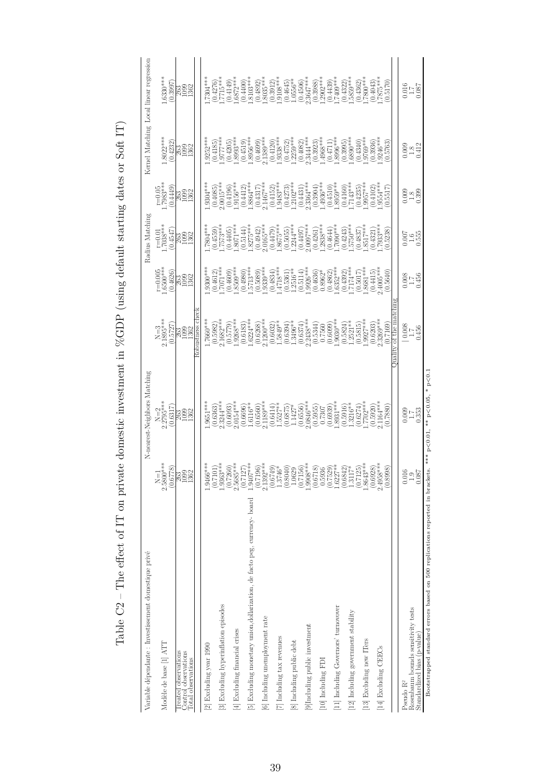<span id="page-38-0"></span>

| $r=0.01$<br>1.7038***<br>$\begin{array}{l} (0.4942)\\ 2.0165^{***}\\ (0.4479)\\ 1.8675^{***}\\ (0.5055)\\ (0.5055)\\ 1.2244^{***} \end{array}$<br>$(0.4321)$<br>7933***<br>$.7804***$<br>$(0.4497)$<br>$2.0097***$<br>$(0.4261)$<br>$(0.4261)$<br>$1.2838***$<br>$^{***0602}_{(74970)}$<br>$(0.4243)$<br>$.5750***$<br>$(0.4559)$<br>$(7573***$<br>$(0.4837)$<br>$(8517***$<br>8071****<br>(0.5144)<br>8275****<br>0.4547<br>(0.4405)<br>(0.5238)<br>388<br>898<br>$r=0.005$<br>$1.6500***$<br>$2.4005***$<br>$(0.4834)$<br>$(4718***$<br>.9300 ***<br>$(0.4612)$<br>$(0.7071***$<br>$(0.4980)$<br>$1.5713***$<br>$.9339***$<br>$(0.5114)$<br>$(.9926***$<br>$(0.4862)$<br>$.6352***$<br>$(0.4392)$<br>.7174***<br>$(0.5017)$<br>8681 ***<br>$.8509**$<br>$\begin{array}{c} (0.5361) \\ 1.2516** \end{array}$<br>(0.4626)<br>(0.5089)<br>(0.4609)<br>$(0.4636)$<br>$0.8962*$<br>(0.4415)<br>(0.5640)<br>382<br>882<br>tobustness chec<br>$N=3$<br>2.1895***<br>$\binom{0.6203}{2.3269**}$<br>$\begin{array}{c} (0.6268) \\ 2.1200*** \end{array}$<br>$(0.6374)$<br>2.2438***<br>$(0.5815)$<br>$.9927***$<br>$(0.6183)$<br>$1.6224***$<br>$(0.6099)$<br>$1.9030***$<br>$(0.5982)$<br>$2.1682***$<br>$\begin{array}{c} (0.5779) \\ 1.9268*** \end{array}$<br>.7660***<br>$(0.6032)$<br>1.5849**<br>$(0.6394)$<br>1.3496**<br>$(0.5824)$<br>1.2521**<br>$\left(0.5344\right)\\ 0.7560$<br>(0.5727)<br>0.7169<br>388<br>298<br>$N=2$<br>2.2795***<br>$(0.6556)$<br>$2.0846***$<br>$(0.5920)$<br>$0.1164***$<br>$2.3244***$<br>$(0.6939)$<br>$8931***$<br>.9651 ***<br>$2.1189***$<br>$(0.6274)$<br>$(7702***$<br>$0154***$<br>$1.3216**$<br>$_{1.6116**}^{(0.6696)}$<br>$\begin{array}{c} (0.6414) \\ 1.5527^{**} \\ (0.6875) \\ 1.1427^{*} \end{array}$<br>(0.6560)<br>$(0.5955)$<br>$0.7307$<br>(0.6317)<br>(0.6093)<br>(0.5916)<br>0.7880)<br>0.6363<br>363<br>1992<br>1362<br>$2.1392***$<br>$2.5800**$<br>(0.6778)<br>1.9466**<br>(0.7101)<br>1.9363**<br>(0.7260)<br>$2.5685**$<br>0.7127<br>1.9407**<br>(0.7196)<br>(0.6749)<br>$1.3746*$<br>(0.8040)<br>1.0629<br>(0.7156)<br>$.9908**$<br>(0.6718)<br>0.5936<br>(0.7529)<br>$0.6227**$<br>(0.6842)<br>$1.3117*$<br>0.7125<br>$.8643**$<br>(0.6928)<br>$2.4958**$<br>(0.8998)<br>382<br>282<br>$\overline{N}$<br>[5] Excluding monetary union, dollarization, de facto peg, currency- board<br>[3] Excluding hyperinflation episodes<br>[11] Including Governors' turnovover<br>[12] Including government stability<br>[6] Including unemployment rate<br>[9] Including public investment<br>[4] Excluding financial crises<br>$\left[ 7\right]$ Including tax revenues<br>[13] Excluding new ITers<br>[8] Including public debt<br>Modèle de base [1] ATT<br>[2] Excluding year 1990<br>[14] Excluding CEECs<br>Treated observations<br>Jontrol observations<br>Total observations<br>[10] Including FDI | $r = 0.05$<br>1.7983***<br>$\begin{array}{l} (0.4317)\\2.1467^{***}\\ (0.4152)\\ (0.4152)\\ 1.9483^{***}\\ (0.4273)\\ (0.4273)\\ (1.2102^{***}\\ \end{array}$<br>$0.9304***$<br>$(0.4085)$<br>$2.0015***$<br>l.9156***<br>(0.4412)<br>l.8864***<br>(0.4449)<br>(0.4196)<br>3882<br>2092 | $1.8022***$<br>(0.4232)<br>$\begin{smallmatrix} (0.4120)\\ (0.9338^{***}\\ (0.4752)\\ (0.4752)\\ (0.4082)\\ (0.4082)\\ (0.3923)\\ (0.3923)\\ (0.3923)\\ (0.3923)\\ (0.3968^{***}\\ (0.3923)\\ (0.3968^{***}\\ (0.3923)\\ (0.3968^{***}\\ (0.3923)\\ (0.3968^{***}\\ (0.3923)\\ (0.3968^{***}\\ (0.3923)\\ (0.3968^{***}\\ (0.3923)\\ (0.3968^{***$<br>.9252***<br>$\begin{array}{l} (0.4205) \\ (1.8993^{***} \\ (0.4519) \\ (1.8956^{***} \\ (1.8956^{***} \\ (0.4699) \\ (1.4699^{***}) \\ (0.4699^{***}) \\ \end{array}$<br>$(0.4185)$<br>$-9777***$<br>382<br>8982 | $1.6330***$<br>$\begin{smallmatrix} (0.4400)\\ (1.8103^{***}\\ (1.8103^{***}\\ (0.4892)\\ (0.4892)\\ (0.3912)\\ (0.9108^{**}\\ (1.903^{**}\\ (1.9108^{**}\\ (1.956^{**}\\ 1.0556^{**}\\ \end{smallmatrix}$<br>$(0.4276)$<br>$-7715***$<br>$.6872***$<br>.7304***<br>(0.3997)<br>(0.4149)<br>363<br>2002<br>201 |
|---------------------------------------------------------------------------------------------------------------------------------------------------------------------------------------------------------------------------------------------------------------------------------------------------------------------------------------------------------------------------------------------------------------------------------------------------------------------------------------------------------------------------------------------------------------------------------------------------------------------------------------------------------------------------------------------------------------------------------------------------------------------------------------------------------------------------------------------------------------------------------------------------------------------------------------------------------------------------------------------------------------------------------------------------------------------------------------------------------------------------------------------------------------------------------------------------------------------------------------------------------------------------------------------------------------------------------------------------------------------------------------------------------------------------------------------------------------------------------------------------------------------------------------------------------------------------------------------------------------------------------------------------------------------------------------------------------------------------------------------------------------------------------------------------------------------------------------------------------------------------------------------------------------------------------------------------------------------------------------------------------------------------------------------------------------------------------------------------------------------------------------------------------------------------------------------------------------------------------------------------------------------------------------------------------------------------------------------------------------------------------------------------------------------------------------------------------------------------------------------------------------------------------------------------------------------------------------------------------------------------------------------------------------------------------------------------------------------------------------------------------------------------------------------------------------------------------------------------------------|-----------------------------------------------------------------------------------------------------------------------------------------------------------------------------------------------------------------------------------------------------------------------------------------|------------------------------------------------------------------------------------------------------------------------------------------------------------------------------------------------------------------------------------------------------------------------------------------------------------------------------------------------------------------------------------------------------------------------------------------------------------------------------------------------------------------------------------------------------------------------|----------------------------------------------------------------------------------------------------------------------------------------------------------------------------------------------------------------------------------------------------------------------------------------------------------------|
|                                                                                                                                                                                                                                                                                                                                                                                                                                                                                                                                                                                                                                                                                                                                                                                                                                                                                                                                                                                                                                                                                                                                                                                                                                                                                                                                                                                                                                                                                                                                                                                                                                                                                                                                                                                                                                                                                                                                                                                                                                                                                                                                                                                                                                                                                                                                                                                                                                                                                                                                                                                                                                                                                                                                                                                                                                                               |                                                                                                                                                                                                                                                                                         |                                                                                                                                                                                                                                                                                                                                                                                                                                                                                                                                                                        |                                                                                                                                                                                                                                                                                                                |
|                                                                                                                                                                                                                                                                                                                                                                                                                                                                                                                                                                                                                                                                                                                                                                                                                                                                                                                                                                                                                                                                                                                                                                                                                                                                                                                                                                                                                                                                                                                                                                                                                                                                                                                                                                                                                                                                                                                                                                                                                                                                                                                                                                                                                                                                                                                                                                                                                                                                                                                                                                                                                                                                                                                                                                                                                                                               |                                                                                                                                                                                                                                                                                         |                                                                                                                                                                                                                                                                                                                                                                                                                                                                                                                                                                        |                                                                                                                                                                                                                                                                                                                |
|                                                                                                                                                                                                                                                                                                                                                                                                                                                                                                                                                                                                                                                                                                                                                                                                                                                                                                                                                                                                                                                                                                                                                                                                                                                                                                                                                                                                                                                                                                                                                                                                                                                                                                                                                                                                                                                                                                                                                                                                                                                                                                                                                                                                                                                                                                                                                                                                                                                                                                                                                                                                                                                                                                                                                                                                                                                               |                                                                                                                                                                                                                                                                                         |                                                                                                                                                                                                                                                                                                                                                                                                                                                                                                                                                                        |                                                                                                                                                                                                                                                                                                                |
|                                                                                                                                                                                                                                                                                                                                                                                                                                                                                                                                                                                                                                                                                                                                                                                                                                                                                                                                                                                                                                                                                                                                                                                                                                                                                                                                                                                                                                                                                                                                                                                                                                                                                                                                                                                                                                                                                                                                                                                                                                                                                                                                                                                                                                                                                                                                                                                                                                                                                                                                                                                                                                                                                                                                                                                                                                                               |                                                                                                                                                                                                                                                                                         |                                                                                                                                                                                                                                                                                                                                                                                                                                                                                                                                                                        |                                                                                                                                                                                                                                                                                                                |
|                                                                                                                                                                                                                                                                                                                                                                                                                                                                                                                                                                                                                                                                                                                                                                                                                                                                                                                                                                                                                                                                                                                                                                                                                                                                                                                                                                                                                                                                                                                                                                                                                                                                                                                                                                                                                                                                                                                                                                                                                                                                                                                                                                                                                                                                                                                                                                                                                                                                                                                                                                                                                                                                                                                                                                                                                                                               |                                                                                                                                                                                                                                                                                         |                                                                                                                                                                                                                                                                                                                                                                                                                                                                                                                                                                        |                                                                                                                                                                                                                                                                                                                |
|                                                                                                                                                                                                                                                                                                                                                                                                                                                                                                                                                                                                                                                                                                                                                                                                                                                                                                                                                                                                                                                                                                                                                                                                                                                                                                                                                                                                                                                                                                                                                                                                                                                                                                                                                                                                                                                                                                                                                                                                                                                                                                                                                                                                                                                                                                                                                                                                                                                                                                                                                                                                                                                                                                                                                                                                                                                               |                                                                                                                                                                                                                                                                                         |                                                                                                                                                                                                                                                                                                                                                                                                                                                                                                                                                                        |                                                                                                                                                                                                                                                                                                                |
|                                                                                                                                                                                                                                                                                                                                                                                                                                                                                                                                                                                                                                                                                                                                                                                                                                                                                                                                                                                                                                                                                                                                                                                                                                                                                                                                                                                                                                                                                                                                                                                                                                                                                                                                                                                                                                                                                                                                                                                                                                                                                                                                                                                                                                                                                                                                                                                                                                                                                                                                                                                                                                                                                                                                                                                                                                                               |                                                                                                                                                                                                                                                                                         |                                                                                                                                                                                                                                                                                                                                                                                                                                                                                                                                                                        |                                                                                                                                                                                                                                                                                                                |
|                                                                                                                                                                                                                                                                                                                                                                                                                                                                                                                                                                                                                                                                                                                                                                                                                                                                                                                                                                                                                                                                                                                                                                                                                                                                                                                                                                                                                                                                                                                                                                                                                                                                                                                                                                                                                                                                                                                                                                                                                                                                                                                                                                                                                                                                                                                                                                                                                                                                                                                                                                                                                                                                                                                                                                                                                                                               |                                                                                                                                                                                                                                                                                         |                                                                                                                                                                                                                                                                                                                                                                                                                                                                                                                                                                        |                                                                                                                                                                                                                                                                                                                |
|                                                                                                                                                                                                                                                                                                                                                                                                                                                                                                                                                                                                                                                                                                                                                                                                                                                                                                                                                                                                                                                                                                                                                                                                                                                                                                                                                                                                                                                                                                                                                                                                                                                                                                                                                                                                                                                                                                                                                                                                                                                                                                                                                                                                                                                                                                                                                                                                                                                                                                                                                                                                                                                                                                                                                                                                                                                               |                                                                                                                                                                                                                                                                                         |                                                                                                                                                                                                                                                                                                                                                                                                                                                                                                                                                                        |                                                                                                                                                                                                                                                                                                                |
|                                                                                                                                                                                                                                                                                                                                                                                                                                                                                                                                                                                                                                                                                                                                                                                                                                                                                                                                                                                                                                                                                                                                                                                                                                                                                                                                                                                                                                                                                                                                                                                                                                                                                                                                                                                                                                                                                                                                                                                                                                                                                                                                                                                                                                                                                                                                                                                                                                                                                                                                                                                                                                                                                                                                                                                                                                                               |                                                                                                                                                                                                                                                                                         |                                                                                                                                                                                                                                                                                                                                                                                                                                                                                                                                                                        |                                                                                                                                                                                                                                                                                                                |
|                                                                                                                                                                                                                                                                                                                                                                                                                                                                                                                                                                                                                                                                                                                                                                                                                                                                                                                                                                                                                                                                                                                                                                                                                                                                                                                                                                                                                                                                                                                                                                                                                                                                                                                                                                                                                                                                                                                                                                                                                                                                                                                                                                                                                                                                                                                                                                                                                                                                                                                                                                                                                                                                                                                                                                                                                                                               |                                                                                                                                                                                                                                                                                         |                                                                                                                                                                                                                                                                                                                                                                                                                                                                                                                                                                        |                                                                                                                                                                                                                                                                                                                |
|                                                                                                                                                                                                                                                                                                                                                                                                                                                                                                                                                                                                                                                                                                                                                                                                                                                                                                                                                                                                                                                                                                                                                                                                                                                                                                                                                                                                                                                                                                                                                                                                                                                                                                                                                                                                                                                                                                                                                                                                                                                                                                                                                                                                                                                                                                                                                                                                                                                                                                                                                                                                                                                                                                                                                                                                                                                               |                                                                                                                                                                                                                                                                                         |                                                                                                                                                                                                                                                                                                                                                                                                                                                                                                                                                                        |                                                                                                                                                                                                                                                                                                                |
|                                                                                                                                                                                                                                                                                                                                                                                                                                                                                                                                                                                                                                                                                                                                                                                                                                                                                                                                                                                                                                                                                                                                                                                                                                                                                                                                                                                                                                                                                                                                                                                                                                                                                                                                                                                                                                                                                                                                                                                                                                                                                                                                                                                                                                                                                                                                                                                                                                                                                                                                                                                                                                                                                                                                                                                                                                                               |                                                                                                                                                                                                                                                                                         |                                                                                                                                                                                                                                                                                                                                                                                                                                                                                                                                                                        |                                                                                                                                                                                                                                                                                                                |
|                                                                                                                                                                                                                                                                                                                                                                                                                                                                                                                                                                                                                                                                                                                                                                                                                                                                                                                                                                                                                                                                                                                                                                                                                                                                                                                                                                                                                                                                                                                                                                                                                                                                                                                                                                                                                                                                                                                                                                                                                                                                                                                                                                                                                                                                                                                                                                                                                                                                                                                                                                                                                                                                                                                                                                                                                                                               |                                                                                                                                                                                                                                                                                         |                                                                                                                                                                                                                                                                                                                                                                                                                                                                                                                                                                        |                                                                                                                                                                                                                                                                                                                |
|                                                                                                                                                                                                                                                                                                                                                                                                                                                                                                                                                                                                                                                                                                                                                                                                                                                                                                                                                                                                                                                                                                                                                                                                                                                                                                                                                                                                                                                                                                                                                                                                                                                                                                                                                                                                                                                                                                                                                                                                                                                                                                                                                                                                                                                                                                                                                                                                                                                                                                                                                                                                                                                                                                                                                                                                                                                               |                                                                                                                                                                                                                                                                                         |                                                                                                                                                                                                                                                                                                                                                                                                                                                                                                                                                                        |                                                                                                                                                                                                                                                                                                                |
|                                                                                                                                                                                                                                                                                                                                                                                                                                                                                                                                                                                                                                                                                                                                                                                                                                                                                                                                                                                                                                                                                                                                                                                                                                                                                                                                                                                                                                                                                                                                                                                                                                                                                                                                                                                                                                                                                                                                                                                                                                                                                                                                                                                                                                                                                                                                                                                                                                                                                                                                                                                                                                                                                                                                                                                                                                                               |                                                                                                                                                                                                                                                                                         |                                                                                                                                                                                                                                                                                                                                                                                                                                                                                                                                                                        |                                                                                                                                                                                                                                                                                                                |
|                                                                                                                                                                                                                                                                                                                                                                                                                                                                                                                                                                                                                                                                                                                                                                                                                                                                                                                                                                                                                                                                                                                                                                                                                                                                                                                                                                                                                                                                                                                                                                                                                                                                                                                                                                                                                                                                                                                                                                                                                                                                                                                                                                                                                                                                                                                                                                                                                                                                                                                                                                                                                                                                                                                                                                                                                                                               | $\begin{array}{c} (0.4431) \\ 2.3364^{***} \\ (0.3904) \\ 1.4936^{***} \end{array}$                                                                                                                                                                                                     |                                                                                                                                                                                                                                                                                                                                                                                                                                                                                                                                                                        | $\begin{array}{c} (0.4506) \\ 2.3647^{***} \\ (0.3988) \\ 1.2902^{***} \end{array}$                                                                                                                                                                                                                            |
|                                                                                                                                                                                                                                                                                                                                                                                                                                                                                                                                                                                                                                                                                                                                                                                                                                                                                                                                                                                                                                                                                                                                                                                                                                                                                                                                                                                                                                                                                                                                                                                                                                                                                                                                                                                                                                                                                                                                                                                                                                                                                                                                                                                                                                                                                                                                                                                                                                                                                                                                                                                                                                                                                                                                                                                                                                                               |                                                                                                                                                                                                                                                                                         |                                                                                                                                                                                                                                                                                                                                                                                                                                                                                                                                                                        |                                                                                                                                                                                                                                                                                                                |
|                                                                                                                                                                                                                                                                                                                                                                                                                                                                                                                                                                                                                                                                                                                                                                                                                                                                                                                                                                                                                                                                                                                                                                                                                                                                                                                                                                                                                                                                                                                                                                                                                                                                                                                                                                                                                                                                                                                                                                                                                                                                                                                                                                                                                                                                                                                                                                                                                                                                                                                                                                                                                                                                                                                                                                                                                                                               | $\begin{array}{c} (0.4510) \\ .8959*** \\ (0.4160) \\ .7143*** \end{array}$                                                                                                                                                                                                             | $(0.4711)$<br>8996***<br>(0.3995)<br>6890***                                                                                                                                                                                                                                                                                                                                                                                                                                                                                                                           | $(0.4439)$<br>7409***                                                                                                                                                                                                                                                                                          |
|                                                                                                                                                                                                                                                                                                                                                                                                                                                                                                                                                                                                                                                                                                                                                                                                                                                                                                                                                                                                                                                                                                                                                                                                                                                                                                                                                                                                                                                                                                                                                                                                                                                                                                                                                                                                                                                                                                                                                                                                                                                                                                                                                                                                                                                                                                                                                                                                                                                                                                                                                                                                                                                                                                                                                                                                                                                               |                                                                                                                                                                                                                                                                                         |                                                                                                                                                                                                                                                                                                                                                                                                                                                                                                                                                                        | $(0.4322)$<br>5859***                                                                                                                                                                                                                                                                                          |
|                                                                                                                                                                                                                                                                                                                                                                                                                                                                                                                                                                                                                                                                                                                                                                                                                                                                                                                                                                                                                                                                                                                                                                                                                                                                                                                                                                                                                                                                                                                                                                                                                                                                                                                                                                                                                                                                                                                                                                                                                                                                                                                                                                                                                                                                                                                                                                                                                                                                                                                                                                                                                                                                                                                                                                                                                                                               |                                                                                                                                                                                                                                                                                         |                                                                                                                                                                                                                                                                                                                                                                                                                                                                                                                                                                        |                                                                                                                                                                                                                                                                                                                |
|                                                                                                                                                                                                                                                                                                                                                                                                                                                                                                                                                                                                                                                                                                                                                                                                                                                                                                                                                                                                                                                                                                                                                                                                                                                                                                                                                                                                                                                                                                                                                                                                                                                                                                                                                                                                                                                                                                                                                                                                                                                                                                                                                                                                                                                                                                                                                                                                                                                                                                                                                                                                                                                                                                                                                                                                                                                               |                                                                                                                                                                                                                                                                                         |                                                                                                                                                                                                                                                                                                                                                                                                                                                                                                                                                                        | (0.4362)                                                                                                                                                                                                                                                                                                       |
|                                                                                                                                                                                                                                                                                                                                                                                                                                                                                                                                                                                                                                                                                                                                                                                                                                                                                                                                                                                                                                                                                                                                                                                                                                                                                                                                                                                                                                                                                                                                                                                                                                                                                                                                                                                                                                                                                                                                                                                                                                                                                                                                                                                                                                                                                                                                                                                                                                                                                                                                                                                                                                                                                                                                                                                                                                                               | $(0.4235)$<br>9957***<br>$(0.4102)$<br>9554***                                                                                                                                                                                                                                          | $\begin{array}{c} (0.4340) \\ .9769^{***} \\ (0.3936) \\ .9246^{***} \end{array}$                                                                                                                                                                                                                                                                                                                                                                                                                                                                                      | $.7800$ ***                                                                                                                                                                                                                                                                                                    |
|                                                                                                                                                                                                                                                                                                                                                                                                                                                                                                                                                                                                                                                                                                                                                                                                                                                                                                                                                                                                                                                                                                                                                                                                                                                                                                                                                                                                                                                                                                                                                                                                                                                                                                                                                                                                                                                                                                                                                                                                                                                                                                                                                                                                                                                                                                                                                                                                                                                                                                                                                                                                                                                                                                                                                                                                                                                               |                                                                                                                                                                                                                                                                                         |                                                                                                                                                                                                                                                                                                                                                                                                                                                                                                                                                                        | $(0.4043)$<br>$(7875***$                                                                                                                                                                                                                                                                                       |
|                                                                                                                                                                                                                                                                                                                                                                                                                                                                                                                                                                                                                                                                                                                                                                                                                                                                                                                                                                                                                                                                                                                                                                                                                                                                                                                                                                                                                                                                                                                                                                                                                                                                                                                                                                                                                                                                                                                                                                                                                                                                                                                                                                                                                                                                                                                                                                                                                                                                                                                                                                                                                                                                                                                                                                                                                                                               |                                                                                                                                                                                                                                                                                         |                                                                                                                                                                                                                                                                                                                                                                                                                                                                                                                                                                        |                                                                                                                                                                                                                                                                                                                |
| Quality of the matc                                                                                                                                                                                                                                                                                                                                                                                                                                                                                                                                                                                                                                                                                                                                                                                                                                                                                                                                                                                                                                                                                                                                                                                                                                                                                                                                                                                                                                                                                                                                                                                                                                                                                                                                                                                                                                                                                                                                                                                                                                                                                                                                                                                                                                                                                                                                                                                                                                                                                                                                                                                                                                                                                                                                                                                                                                           | (0.5517)                                                                                                                                                                                                                                                                                | 0.5763                                                                                                                                                                                                                                                                                                                                                                                                                                                                                                                                                                 | (0.5170)                                                                                                                                                                                                                                                                                                       |
|                                                                                                                                                                                                                                                                                                                                                                                                                                                                                                                                                                                                                                                                                                                                                                                                                                                                                                                                                                                                                                                                                                                                                                                                                                                                                                                                                                                                                                                                                                                                                                                                                                                                                                                                                                                                                                                                                                                                                                                                                                                                                                                                                                                                                                                                                                                                                                                                                                                                                                                                                                                                                                                                                                                                                                                                                                                               |                                                                                                                                                                                                                                                                                         |                                                                                                                                                                                                                                                                                                                                                                                                                                                                                                                                                                        |                                                                                                                                                                                                                                                                                                                |
| 0.016<br>Pseudo R <sup>2</sup>                                                                                                                                                                                                                                                                                                                                                                                                                                                                                                                                                                                                                                                                                                                                                                                                                                                                                                                                                                                                                                                                                                                                                                                                                                                                                                                                                                                                                                                                                                                                                                                                                                                                                                                                                                                                                                                                                                                                                                                                                                                                                                                                                                                                                                                                                                                                                                                                                                                                                                                                                                                                                                                                                                                                                                                                                                |                                                                                                                                                                                                                                                                                         |                                                                                                                                                                                                                                                                                                                                                                                                                                                                                                                                                                        |                                                                                                                                                                                                                                                                                                                |
| $\frac{0.007}{1.6}$<br>$\begin{array}{c} 0.008 \\ 7.1 \\ 1.56 \end{array}$<br>$\frac{1.7}{1.16}$<br>$\begin{array}{c} 0.009 \\ -1.7 \\ 0.353 \end{array}$<br>$\begin{array}{c} 1.9 \\ 0.087 \end{array}$<br>Rosenbaum bounds sensitivity tests                                                                                                                                                                                                                                                                                                                                                                                                                                                                                                                                                                                                                                                                                                                                                                                                                                                                                                                                                                                                                                                                                                                                                                                                                                                                                                                                                                                                                                                                                                                                                                                                                                                                                                                                                                                                                                                                                                                                                                                                                                                                                                                                                                                                                                                                                                                                                                                                                                                                                                                                                                                                                | $\begin{array}{c} 0.009 \\ -1.8 \\ 0.399 \end{array}$                                                                                                                                                                                                                                   | $0.009$<br>$1.8$<br>$0.412$                                                                                                                                                                                                                                                                                                                                                                                                                                                                                                                                            | $\frac{280}{9100}$                                                                                                                                                                                                                                                                                             |
| Standardized bias (p-value)                                                                                                                                                                                                                                                                                                                                                                                                                                                                                                                                                                                                                                                                                                                                                                                                                                                                                                                                                                                                                                                                                                                                                                                                                                                                                                                                                                                                                                                                                                                                                                                                                                                                                                                                                                                                                                                                                                                                                                                                                                                                                                                                                                                                                                                                                                                                                                                                                                                                                                                                                                                                                                                                                                                                                                                                                                   |                                                                                                                                                                                                                                                                                         |                                                                                                                                                                                                                                                                                                                                                                                                                                                                                                                                                                        |                                                                                                                                                                                                                                                                                                                |

Bootstrapped standard errors based on 500 replications reported in brackets. \*\*\* p<0.01, \*\* p<0.05, \* p<0.1

Table C2 – The effect of IT on private domestic investment in  $%GDP$  (using default starting dates or Soft IT) Table C2 – The effect of IT on private domestic investment in %GDP (using default starting dates or Soft IT)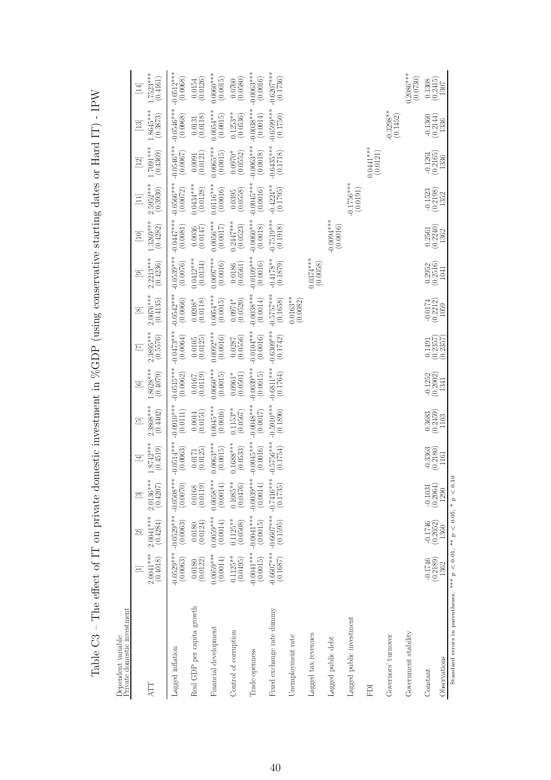| Prívate domestic investment<br>Dependent variable:                            |                          |                                                    |                                  |                              |                              |                                |                              |                              |                              |                                        |                                  |                                   |                                       |                                                   |
|-------------------------------------------------------------------------------|--------------------------|----------------------------------------------------|----------------------------------|------------------------------|------------------------------|--------------------------------|------------------------------|------------------------------|------------------------------|----------------------------------------|----------------------------------|-----------------------------------|---------------------------------------|---------------------------------------------------|
| ATT                                                                           | $2.0041***$<br>(0.4018)  | $2.0041***$<br>(0.4284)<br>$\overline{\mathbb{Z}}$ | $2.0136***$<br>(0.4207)<br>$\Xi$ | $1.8742***$<br>(0.4519)<br>匡 | $2.3808***$<br>(0.4402)<br>흐 | 1.8628***<br>(0.4079)<br>$\Xi$ | $2.3895***$<br>(0.5576)<br>E | $2.0076***$<br>(0.4135)<br>∞ | $2.2213***$<br>(0.4236)<br>ு | $.3269***$<br>(0.4282)<br>$\boxed{10}$ | $2.5952***$<br>(0.3930)<br>$\Xi$ | $***$ [60.7]<br>(0.4369)<br>$\Xi$ | 1.8645***<br>(0.3873)<br>$\boxed{13}$ | $.7523***$<br>(0.4161)<br>$\Xi$                   |
| Lagged inflation                                                              | $-0.0529***$<br>(0.0063) | $-0.0529***$<br>(0.0063)                           | $-0.0508***$<br>(0.0070)         | $-0.0514***$<br>(0.0063)     | $-0.0910***$<br>(0.0111)     | $-0.0515***$<br>(0.0062)       | $-0.0473***$<br>(0.0064)     | $-0.0542***$<br>(0.0066)     | $-0.0539***$<br>(0.0076)     | $-0.0447***$<br>(0.0081)               | $-0.0566***$<br>(0.0072)         | $-0.0546***$<br>(0.0067)          | $-0.0546***$<br>(0.0068)              | $-0.0512***$<br>(0.0068)                          |
| Real GDP per capita growth                                                    | (0.0122)<br>0.0180       | (0.0124)<br>0.0180                                 | (0.0119)<br>0.0168               | (0.0125)<br>0.0171           | $(0.0014$<br>$(0.0151)$      | (0.0119)<br>0.0167             | $\binom{0.0105}{0.0125}$     | $0.0208*$<br>(0.0118)        | $0.0412***$<br>(0.0134)      | (0.0147)<br>0.0036                     | $0.0434***$<br>(0.0128)          | (0.0121)<br>0.0091                | (0.0118)<br>0.0131                    | (0.0126)<br>0.0154                                |
| Financial development                                                         | $0.0059***$<br>(0.0014)  | $0.0059***$<br>(0.0014)                            | $0.0058***$<br>(0.0014)          | $0.0063***$<br>(0.0015)      | $0.0045***$<br>(0.0016)      | $0.0060***$<br>(0.0015)        | $0.0092***$<br>(0.0016)      | $0.0054***$<br>(0.0015)      | $0.0097***$<br>(0.0016)      | $0.0056***$<br>(0.0017)                | $0.0116***$<br>(0.0016)          | $0.0065***$<br>(0.0015)           | $0.0054***$<br>(0.0015)               | $0.0060***$<br>(0.0015)                           |
| Control of corruption                                                         | $0.1125***$<br>(0.0495)  | $0.1125**$<br>(0.0508)                             | $0.1085***$<br>(0.0476)          | $0.1688***$<br>(0.0533)      | $0.1153**$<br>(0.0567)       | (0.0501)<br>$0.0961*$          | (0.0556)<br>0.0287           | $0.0974*$<br>(0.0520)        | (0.0561)<br>0.0186           | $0.2447***$<br>(0.0523)                | (0.0558)<br>0.0395               | (0.0552)<br>$0.0970*$             | $0.1253**$<br>(0.0536)                | (0.0580)<br>0.0760                                |
| Trade openness                                                                | $-0.0041***$<br>(0.0015) | $-0.0041***$<br>(0.0015)                           | $-0.0039***$<br>(0.0014)         | $-0.0045***$<br>(0.0016)     | $-0.0048***$<br>(0.0017)     | $-0.0039***$<br>(0.0015)       | $-0.0104***$<br>(0.0016)     | $-0.0038***$<br>(0.0014)     | $-0.0109***$<br>(0.0016)     | $-0.0060$ **<br>(0.0018)               | $-0.0045***$<br>(0.0016)         | $-0.0063***$<br>(0.0018)          | $-0.0038***$<br>(0.0014)              | $-0.0063***$<br>(0.0016)                          |
| Fixed exchange rate dummy                                                     | $-0.6607***$<br>(0.1687) | $-0.6607***$                                       | $-0.7416***$<br>(0.1735)         | $-0.5756***$<br>(0.1754)     | $-0.5910***$<br>(0.1890)     | $-0.6811***$<br>(0.1764)       | $-0.6309***$<br>(0.1742)     | $-0.5757***$<br>(0.1658)     | $-0.4178**$<br>(0.1879)      | $-0.7519***$<br>(0.1918)               | $-0.4224**$<br>(0.1795)          | $-0.6435***$<br>(0.1718)          | $-0.6599***$<br>(0.1750)              | $-0.6207***$<br>(0.1736)                          |
| Unemployment rate                                                             |                          |                                                    |                                  |                              |                              |                                |                              | $0.0163**$<br>(0.0082)       |                              |                                        |                                  |                                   |                                       |                                                   |
| Lagged tax revenues                                                           |                          |                                                    |                                  |                              |                              |                                |                              |                              | $0.0374***$<br>(0.0058)      |                                        |                                  |                                   |                                       |                                                   |
| Lagged public debt                                                            |                          |                                                    |                                  |                              |                              |                                |                              |                              |                              | $-0.0094***$<br>(0.0016)               |                                  |                                   |                                       |                                                   |
| Lagged public investment                                                      |                          |                                                    |                                  |                              |                              |                                |                              |                              |                              |                                        | $-0.1756***$<br>(0.0191)         |                                   |                                       |                                                   |
| EDI                                                                           |                          |                                                    |                                  |                              |                              |                                |                              |                              |                              |                                        |                                  | $0.0441***$<br>(0.0121)           |                                       |                                                   |
| Governors' turnover                                                           |                          |                                                    |                                  |                              |                              |                                |                              |                              |                              |                                        |                                  |                                   | $-0.3298**$<br>(0.1452)               |                                                   |
| Government stability                                                          |                          |                                                    |                                  |                              |                              |                                |                              |                              |                              |                                        |                                  |                                   |                                       | $0.2086***$<br>(0.0730)                           |
| Constant                                                                      | $-0.1746$<br>$(0.2189)$  | $-0.1746$<br>$(0.2052)$                            | $-0.1031$<br>$(0.2064)$          | $-0.3363$<br>$(0.2180)$      | $\binom{0.3683}{0.2459}$     | $-0.1252$<br>$(0.2002)$        | $\frac{0.1491}{(0.2357)}$    | $-0.0174$<br>$(0.2212)$      | $(0.2952)$<br>$(0.2516)$     | $\binom{0.2561}{0.2240}$               | $-0.1523$<br>$(0.2198)$          | $-0.1261$<br>$(0.2165)$           | $-0.1360$<br>$(0.2144)$               | $\begin{array}{c} 0.1308 \\ (0.2415) \end{array}$ |
| Observations                                                                  | 1362                     | 1360                                               | 1290                             | 1161                         | 1103                         | 1341                           | (0.2357)                     | 1059                         | 1041                         | 1362                                   | 1352                             | 1336                              | 1336                                  | 1307                                              |
| Standard errors in parentheses. *** $p < 0.01$ , ** $p < 0.05$ , * $p < 0.10$ |                          |                                                    |                                  |                              |                              |                                |                              |                              |                              |                                        |                                  |                                   |                                       |                                                   |

<span id="page-39-0"></span>Table C3 - The effect of IT on private domestic investment in %GDP (using conservative starting dates or Hard IT) - IPW Table C3 – The effect of IT on private domestic investment in %GDP (using conservative starting dates or Hard IT) - IPW